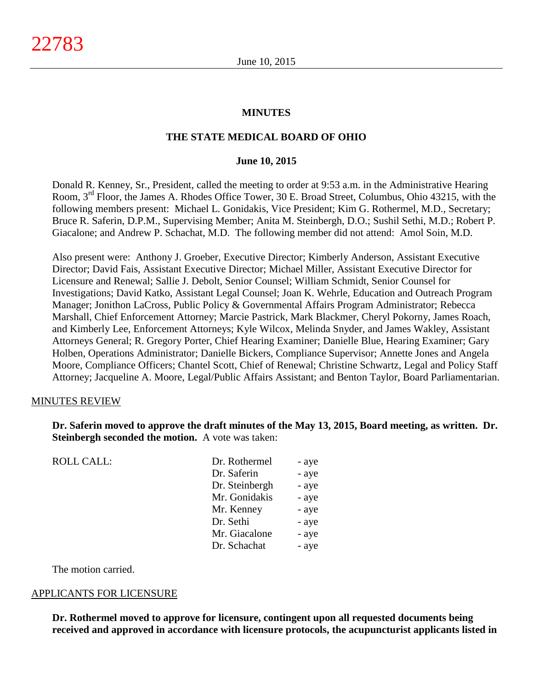#### **MINUTES**

#### **THE STATE MEDICAL BOARD OF OHIO**

#### **June 10, 2015**

Donald R. Kenney, Sr., President, called the meeting to order at 9:53 a.m. in the Administrative Hearing Room, 3rd Floor, the James A. Rhodes Office Tower, 30 E. Broad Street, Columbus, Ohio 43215, with the following members present: Michael L. Gonidakis, Vice President; Kim G. Rothermel, M.D., Secretary; Bruce R. Saferin, D.P.M., Supervising Member; Anita M. Steinbergh, D.O.; Sushil Sethi, M.D.; Robert P. Giacalone; and Andrew P. Schachat, M.D. The following member did not attend: Amol Soin, M.D.

Also present were: Anthony J. Groeber, Executive Director; Kimberly Anderson, Assistant Executive Director; David Fais, Assistant Executive Director; Michael Miller, Assistant Executive Director for Licensure and Renewal; Sallie J. Debolt, Senior Counsel; William Schmidt, Senior Counsel for Investigations; David Katko, Assistant Legal Counsel; Joan K. Wehrle, Education and Outreach Program Manager; Jonithon LaCross, Public Policy & Governmental Affairs Program Administrator; Rebecca Marshall, Chief Enforcement Attorney; Marcie Pastrick, Mark Blackmer, Cheryl Pokorny, James Roach, and Kimberly Lee, Enforcement Attorneys; Kyle Wilcox, Melinda Snyder, and James Wakley, Assistant Attorneys General; R. Gregory Porter, Chief Hearing Examiner; Danielle Blue, Hearing Examiner; Gary Holben, Operations Administrator; Danielle Bickers, Compliance Supervisor; Annette Jones and Angela Moore, Compliance Officers; Chantel Scott, Chief of Renewal; Christine Schwartz, Legal and Policy Staff Attorney; Jacqueline A. Moore, Legal/Public Affairs Assistant; and Benton Taylor, Board Parliamentarian.

#### MINUTES REVIEW

**Dr. Saferin moved to approve the draft minutes of the May 13, 2015, Board meeting, as written. Dr. Steinbergh seconded the motion.** A vote was taken:

| <b>ROLL CALL:</b> | Dr. Rothermel  | - aye |
|-------------------|----------------|-------|
|                   | Dr. Saferin    | - aye |
|                   | Dr. Steinbergh | - aye |
|                   | Mr. Gonidakis  | - aye |
|                   | Mr. Kenney     | - aye |
|                   | Dr. Sethi      | - aye |
|                   | Mr. Giacalone  | - aye |
|                   | Dr. Schachat   | - aye |
|                   |                |       |

The motion carried.

#### APPLICANTS FOR LICENSURE

**Dr. Rothermel moved to approve for licensure, contingent upon all requested documents being received and approved in accordance with licensure protocols, the acupuncturist applicants listed in**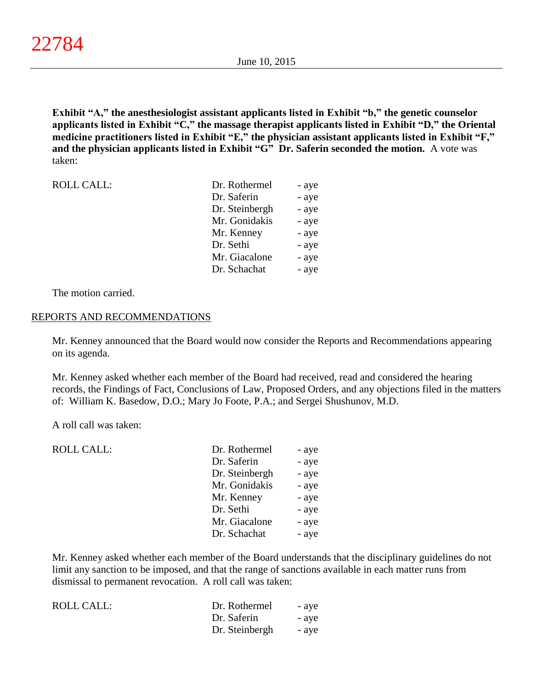**Exhibit "A," the anesthesiologist assistant applicants listed in Exhibit "b," the genetic counselor applicants listed in Exhibit "C," the massage therapist applicants listed in Exhibit "D," the Oriental medicine practitioners listed in Exhibit "E," the physician assistant applicants listed in Exhibit "F," and the physician applicants listed in Exhibit "G" Dr. Saferin seconded the motion.** A vote was taken:

| <b>ROLL CALL:</b> | Dr. Rothermel  | - aye |
|-------------------|----------------|-------|
|                   | Dr. Saferin    | - aye |
|                   | Dr. Steinbergh | - aye |
|                   | Mr. Gonidakis  | - aye |
|                   | Mr. Kenney     | - aye |
|                   | Dr. Sethi      | - aye |
|                   | Mr. Giacalone  | - aye |
|                   | Dr. Schachat   | - aye |

The motion carried.

#### REPORTS AND RECOMMENDATIONS

Mr. Kenney announced that the Board would now consider the Reports and Recommendations appearing on its agenda.

Mr. Kenney asked whether each member of the Board had received, read and considered the hearing records, the Findings of Fact, Conclusions of Law, Proposed Orders, and any objections filed in the matters of: William K. Basedow, D.O.; Mary Jo Foote, P.A.; and Sergei Shushunov, M.D.

A roll call was taken:

| <b>ROLL CALL:</b> | Dr. Rothermel  | - aye |
|-------------------|----------------|-------|
|                   | Dr. Saferin    | - aye |
|                   | Dr. Steinbergh | - aye |
|                   | Mr. Gonidakis  | - aye |
|                   | Mr. Kenney     | - aye |
|                   | Dr. Sethi      | - aye |
|                   | Mr. Giacalone  | - aye |
|                   | Dr. Schachat   | - aye |
|                   |                |       |

Mr. Kenney asked whether each member of the Board understands that the disciplinary guidelines do not limit any sanction to be imposed, and that the range of sanctions available in each matter runs from dismissal to permanent revocation. A roll call was taken:

| <b>ROLL CALL:</b> | Dr. Rothermel  | - aye |
|-------------------|----------------|-------|
|                   | Dr. Saferin    | - aye |
|                   | Dr. Steinbergh | - aye |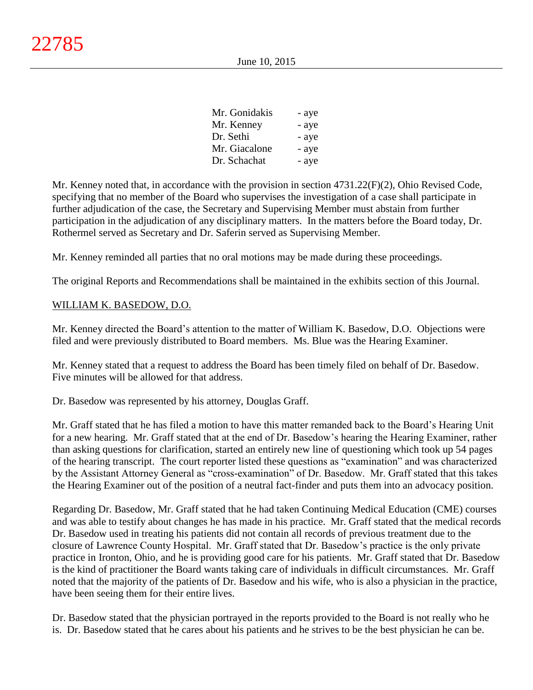| Mr. Gonidakis | - aye |
|---------------|-------|
| Mr. Kenney    | - aye |
| Dr. Sethi     | - aye |
| Mr. Giacalone | - aye |
| Dr. Schachat  | - aye |

Mr. Kenney noted that, in accordance with the provision in section 4731.22(F)(2), Ohio Revised Code, specifying that no member of the Board who supervises the investigation of a case shall participate in further adjudication of the case, the Secretary and Supervising Member must abstain from further participation in the adjudication of any disciplinary matters. In the matters before the Board today, Dr. Rothermel served as Secretary and Dr. Saferin served as Supervising Member.

Mr. Kenney reminded all parties that no oral motions may be made during these proceedings.

The original Reports and Recommendations shall be maintained in the exhibits section of this Journal.

# WILLIAM K. BASEDOW, D.O.

Mr. Kenney directed the Board's attention to the matter of William K. Basedow, D.O. Objections were filed and were previously distributed to Board members. Ms. Blue was the Hearing Examiner.

Mr. Kenney stated that a request to address the Board has been timely filed on behalf of Dr. Basedow. Five minutes will be allowed for that address.

Dr. Basedow was represented by his attorney, Douglas Graff.

Mr. Graff stated that he has filed a motion to have this matter remanded back to the Board's Hearing Unit for a new hearing. Mr. Graff stated that at the end of Dr. Basedow's hearing the Hearing Examiner, rather than asking questions for clarification, started an entirely new line of questioning which took up 54 pages of the hearing transcript. The court reporter listed these questions as "examination" and was characterized by the Assistant Attorney General as "cross-examination" of Dr. Basedow. Mr. Graff stated that this takes the Hearing Examiner out of the position of a neutral fact-finder and puts them into an advocacy position.

Regarding Dr. Basedow, Mr. Graff stated that he had taken Continuing Medical Education (CME) courses and was able to testify about changes he has made in his practice. Mr. Graff stated that the medical records Dr. Basedow used in treating his patients did not contain all records of previous treatment due to the closure of Lawrence County Hospital. Mr. Graff stated that Dr. Basedow's practice is the only private practice in Ironton, Ohio, and he is providing good care for his patients. Mr. Graff stated that Dr. Basedow is the kind of practitioner the Board wants taking care of individuals in difficult circumstances. Mr. Graff noted that the majority of the patients of Dr. Basedow and his wife, who is also a physician in the practice, have been seeing them for their entire lives.

Dr. Basedow stated that the physician portrayed in the reports provided to the Board is not really who he is. Dr. Basedow stated that he cares about his patients and he strives to be the best physician he can be.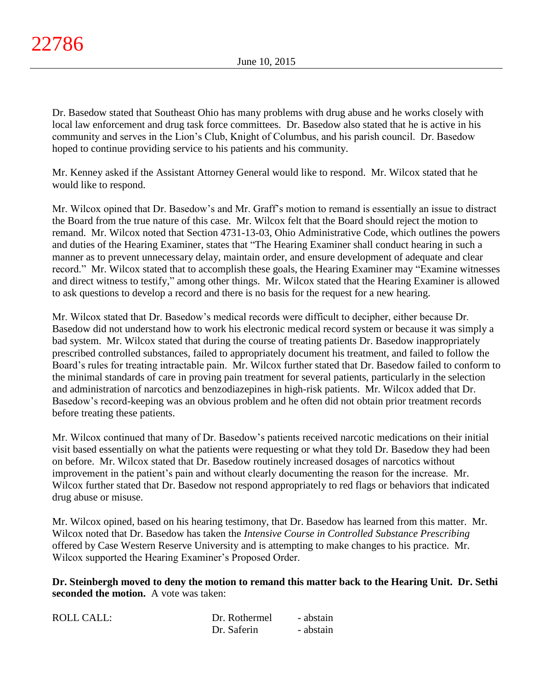Dr. Basedow stated that Southeast Ohio has many problems with drug abuse and he works closely with local law enforcement and drug task force committees. Dr. Basedow also stated that he is active in his community and serves in the Lion's Club, Knight of Columbus, and his parish council. Dr. Basedow hoped to continue providing service to his patients and his community.

Mr. Kenney asked if the Assistant Attorney General would like to respond. Mr. Wilcox stated that he would like to respond.

Mr. Wilcox opined that Dr. Basedow's and Mr. Graff's motion to remand is essentially an issue to distract the Board from the true nature of this case. Mr. Wilcox felt that the Board should reject the motion to remand. Mr. Wilcox noted that Section 4731-13-03, Ohio Administrative Code, which outlines the powers and duties of the Hearing Examiner, states that "The Hearing Examiner shall conduct hearing in such a manner as to prevent unnecessary delay, maintain order, and ensure development of adequate and clear record." Mr. Wilcox stated that to accomplish these goals, the Hearing Examiner may "Examine witnesses and direct witness to testify," among other things. Mr. Wilcox stated that the Hearing Examiner is allowed to ask questions to develop a record and there is no basis for the request for a new hearing.

Mr. Wilcox stated that Dr. Basedow's medical records were difficult to decipher, either because Dr. Basedow did not understand how to work his electronic medical record system or because it was simply a bad system. Mr. Wilcox stated that during the course of treating patients Dr. Basedow inappropriately prescribed controlled substances, failed to appropriately document his treatment, and failed to follow the Board's rules for treating intractable pain. Mr. Wilcox further stated that Dr. Basedow failed to conform to the minimal standards of care in proving pain treatment for several patients, particularly in the selection and administration of narcotics and benzodiazepines in high-risk patients. Mr. Wilcox added that Dr. Basedow's record-keeping was an obvious problem and he often did not obtain prior treatment records before treating these patients.

Mr. Wilcox continued that many of Dr. Basedow's patients received narcotic medications on their initial visit based essentially on what the patients were requesting or what they told Dr. Basedow they had been on before. Mr. Wilcox stated that Dr. Basedow routinely increased dosages of narcotics without improvement in the patient's pain and without clearly documenting the reason for the increase. Mr. Wilcox further stated that Dr. Basedow not respond appropriately to red flags or behaviors that indicated drug abuse or misuse.

Mr. Wilcox opined, based on his hearing testimony, that Dr. Basedow has learned from this matter. Mr. Wilcox noted that Dr. Basedow has taken the *Intensive Course in Controlled Substance Prescribing* offered by Case Western Reserve University and is attempting to make changes to his practice. Mr. Wilcox supported the Hearing Examiner's Proposed Order.

**Dr. Steinbergh moved to deny the motion to remand this matter back to the Hearing Unit. Dr. Sethi seconded the motion.** A vote was taken:

| <b>ROLL CALL:</b> | Dr. Rothermel | - abstain |
|-------------------|---------------|-----------|
|                   | Dr. Saferin   | - abstain |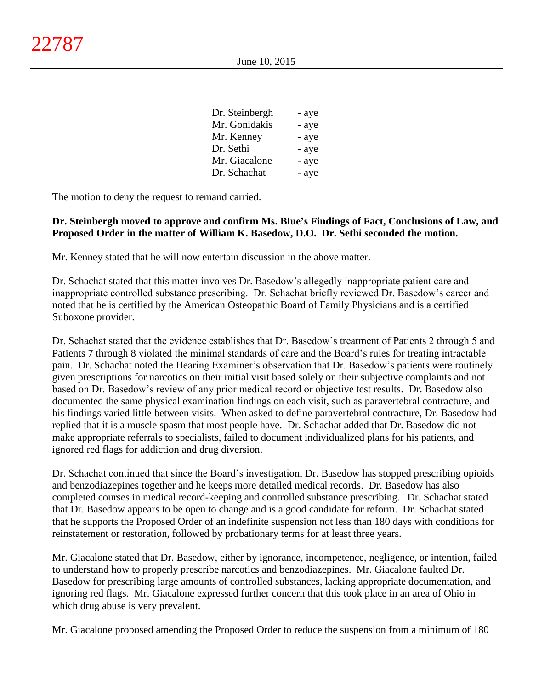| Dr. Steinbergh | - aye |
|----------------|-------|
| Mr. Gonidakis  | - aye |
| Mr. Kenney     | - aye |
| Dr. Sethi      | - aye |
| Mr. Giacalone  | - aye |
| Dr. Schachat   | - aye |

The motion to deny the request to remand carried.

# **Dr. Steinbergh moved to approve and confirm Ms. Blue's Findings of Fact, Conclusions of Law, and Proposed Order in the matter of William K. Basedow, D.O. Dr. Sethi seconded the motion.**

Mr. Kenney stated that he will now entertain discussion in the above matter.

Dr. Schachat stated that this matter involves Dr. Basedow's allegedly inappropriate patient care and inappropriate controlled substance prescribing. Dr. Schachat briefly reviewed Dr. Basedow's career and noted that he is certified by the American Osteopathic Board of Family Physicians and is a certified Suboxone provider.

Dr. Schachat stated that the evidence establishes that Dr. Basedow's treatment of Patients 2 through 5 and Patients 7 through 8 violated the minimal standards of care and the Board's rules for treating intractable pain. Dr. Schachat noted the Hearing Examiner's observation that Dr. Basedow's patients were routinely given prescriptions for narcotics on their initial visit based solely on their subjective complaints and not based on Dr. Basedow's review of any prior medical record or objective test results. Dr. Basedow also documented the same physical examination findings on each visit, such as paravertebral contracture, and his findings varied little between visits. When asked to define paravertebral contracture, Dr. Basedow had replied that it is a muscle spasm that most people have. Dr. Schachat added that Dr. Basedow did not make appropriate referrals to specialists, failed to document individualized plans for his patients, and ignored red flags for addiction and drug diversion.

Dr. Schachat continued that since the Board's investigation, Dr. Basedow has stopped prescribing opioids and benzodiazepines together and he keeps more detailed medical records. Dr. Basedow has also completed courses in medical record-keeping and controlled substance prescribing. Dr. Schachat stated that Dr. Basedow appears to be open to change and is a good candidate for reform. Dr. Schachat stated that he supports the Proposed Order of an indefinite suspension not less than 180 days with conditions for reinstatement or restoration, followed by probationary terms for at least three years.

Mr. Giacalone stated that Dr. Basedow, either by ignorance, incompetence, negligence, or intention, failed to understand how to properly prescribe narcotics and benzodiazepines. Mr. Giacalone faulted Dr. Basedow for prescribing large amounts of controlled substances, lacking appropriate documentation, and ignoring red flags. Mr. Giacalone expressed further concern that this took place in an area of Ohio in which drug abuse is very prevalent.

Mr. Giacalone proposed amending the Proposed Order to reduce the suspension from a minimum of 180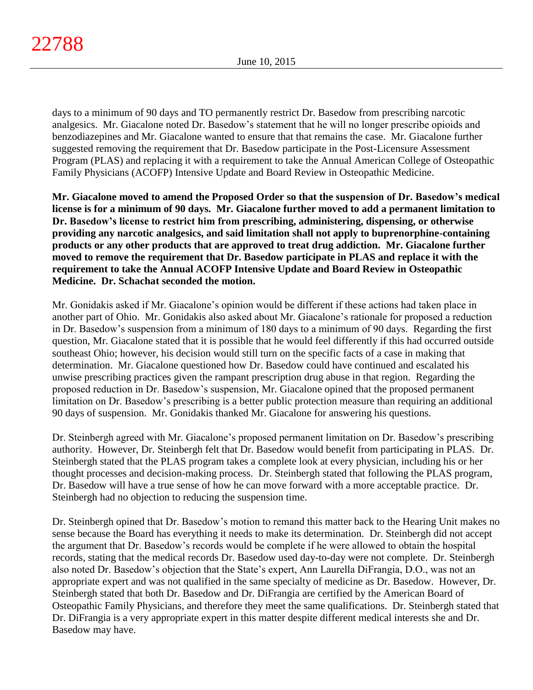days to a minimum of 90 days and TO permanently restrict Dr. Basedow from prescribing narcotic analgesics. Mr. Giacalone noted Dr. Basedow's statement that he will no longer prescribe opioids and benzodiazepines and Mr. Giacalone wanted to ensure that that remains the case. Mr. Giacalone further suggested removing the requirement that Dr. Basedow participate in the Post-Licensure Assessment Program (PLAS) and replacing it with a requirement to take the Annual American College of Osteopathic Family Physicians (ACOFP) Intensive Update and Board Review in Osteopathic Medicine.

**Mr. Giacalone moved to amend the Proposed Order so that the suspension of Dr. Basedow's medical license is for a minimum of 90 days. Mr. Giacalone further moved to add a permanent limitation to Dr. Basedow's license to restrict him from prescribing, administering, dispensing, or otherwise providing any narcotic analgesics, and said limitation shall not apply to buprenorphine-containing products or any other products that are approved to treat drug addiction. Mr. Giacalone further moved to remove the requirement that Dr. Basedow participate in PLAS and replace it with the requirement to take the Annual ACOFP Intensive Update and Board Review in Osteopathic Medicine. Dr. Schachat seconded the motion.**

Mr. Gonidakis asked if Mr. Giacalone's opinion would be different if these actions had taken place in another part of Ohio. Mr. Gonidakis also asked about Mr. Giacalone's rationale for proposed a reduction in Dr. Basedow's suspension from a minimum of 180 days to a minimum of 90 days. Regarding the first question, Mr. Giacalone stated that it is possible that he would feel differently if this had occurred outside southeast Ohio; however, his decision would still turn on the specific facts of a case in making that determination. Mr. Giacalone questioned how Dr. Basedow could have continued and escalated his unwise prescribing practices given the rampant prescription drug abuse in that region. Regarding the proposed reduction in Dr. Basedow's suspension, Mr. Giacalone opined that the proposed permanent limitation on Dr. Basedow's prescribing is a better public protection measure than requiring an additional 90 days of suspension. Mr. Gonidakis thanked Mr. Giacalone for answering his questions.

Dr. Steinbergh agreed with Mr. Giacalone's proposed permanent limitation on Dr. Basedow's prescribing authority. However, Dr. Steinbergh felt that Dr. Basedow would benefit from participating in PLAS. Dr. Steinbergh stated that the PLAS program takes a complete look at every physician, including his or her thought processes and decision-making process. Dr. Steinbergh stated that following the PLAS program, Dr. Basedow will have a true sense of how he can move forward with a more acceptable practice. Dr. Steinbergh had no objection to reducing the suspension time.

Dr. Steinbergh opined that Dr. Basedow's motion to remand this matter back to the Hearing Unit makes no sense because the Board has everything it needs to make its determination. Dr. Steinbergh did not accept the argument that Dr. Basedow's records would be complete if he were allowed to obtain the hospital records, stating that the medical records Dr. Basedow used day-to-day were not complete. Dr. Steinbergh also noted Dr. Basedow's objection that the State's expert, Ann Laurella DiFrangia, D.O., was not an appropriate expert and was not qualified in the same specialty of medicine as Dr. Basedow. However, Dr. Steinbergh stated that both Dr. Basedow and Dr. DiFrangia are certified by the American Board of Osteopathic Family Physicians, and therefore they meet the same qualifications. Dr. Steinbergh stated that Dr. DiFrangia is a very appropriate expert in this matter despite different medical interests she and Dr. Basedow may have.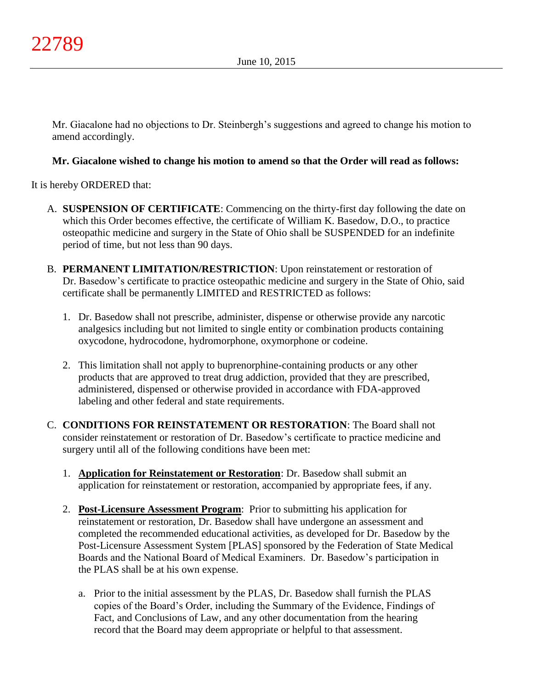Mr. Giacalone had no objections to Dr. Steinbergh's suggestions and agreed to change his motion to amend accordingly.

# **Mr. Giacalone wished to change his motion to amend so that the Order will read as follows:**

It is hereby ORDERED that:

- A. **SUSPENSION OF CERTIFICATE**: Commencing on the thirty-first day following the date on which this Order becomes effective, the certificate of William K. Basedow, D.O., to practice osteopathic medicine and surgery in the State of Ohio shall be SUSPENDED for an indefinite period of time, but not less than 90 days.
- B. **PERMANENT LIMITATION/RESTRICTION**: Upon reinstatement or restoration of Dr. Basedow's certificate to practice osteopathic medicine and surgery in the State of Ohio, said certificate shall be permanently LIMITED and RESTRICTED as follows:
	- 1. Dr. Basedow shall not prescribe, administer, dispense or otherwise provide any narcotic analgesics including but not limited to single entity or combination products containing oxycodone, hydrocodone, hydromorphone, oxymorphone or codeine.
	- 2. This limitation shall not apply to buprenorphine-containing products or any other products that are approved to treat drug addiction, provided that they are prescribed, administered, dispensed or otherwise provided in accordance with FDA-approved labeling and other federal and state requirements.
- C. **CONDITIONS FOR REINSTATEMENT OR RESTORATION**: The Board shall not consider reinstatement or restoration of Dr. Basedow's certificate to practice medicine and surgery until all of the following conditions have been met:
	- 1. **Application for Reinstatement or Restoration**: Dr. Basedow shall submit an application for reinstatement or restoration, accompanied by appropriate fees, if any.
	- 2. **Post-Licensure Assessment Program**: Prior to submitting his application for reinstatement or restoration, Dr. Basedow shall have undergone an assessment and completed the recommended educational activities, as developed for Dr. Basedow by the Post-Licensure Assessment System [PLAS] sponsored by the Federation of State Medical Boards and the National Board of Medical Examiners. Dr. Basedow's participation in the PLAS shall be at his own expense.
		- a. Prior to the initial assessment by the PLAS, Dr. Basedow shall furnish the PLAS copies of the Board's Order, including the Summary of the Evidence, Findings of Fact, and Conclusions of Law, and any other documentation from the hearing record that the Board may deem appropriate or helpful to that assessment.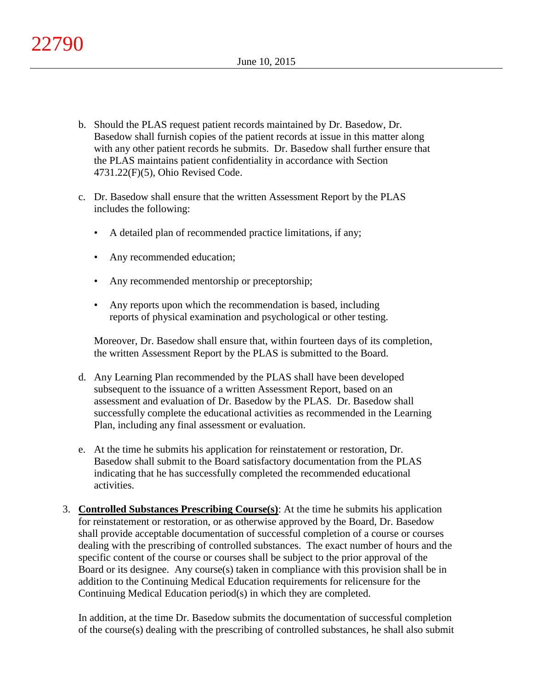- b. Should the PLAS request patient records maintained by Dr. Basedow, Dr. Basedow shall furnish copies of the patient records at issue in this matter along with any other patient records he submits. Dr. Basedow shall further ensure that the PLAS maintains patient confidentiality in accordance with Section 4731.22(F)(5), Ohio Revised Code.
- c. Dr. Basedow shall ensure that the written Assessment Report by the PLAS includes the following:
	- A detailed plan of recommended practice limitations, if any;
	- Any recommended education;
	- Any recommended mentorship or preceptorship;
	- Any reports upon which the recommendation is based, including reports of physical examination and psychological or other testing.

Moreover, Dr. Basedow shall ensure that, within fourteen days of its completion, the written Assessment Report by the PLAS is submitted to the Board.

- d. Any Learning Plan recommended by the PLAS shall have been developed subsequent to the issuance of a written Assessment Report, based on an assessment and evaluation of Dr. Basedow by the PLAS. Dr. Basedow shall successfully complete the educational activities as recommended in the Learning Plan, including any final assessment or evaluation.
- e. At the time he submits his application for reinstatement or restoration, Dr. Basedow shall submit to the Board satisfactory documentation from the PLAS indicating that he has successfully completed the recommended educational activities.
- 3. **Controlled Substances Prescribing Course(s)**: At the time he submits his application for reinstatement or restoration, or as otherwise approved by the Board, Dr. Basedow shall provide acceptable documentation of successful completion of a course or courses dealing with the prescribing of controlled substances. The exact number of hours and the specific content of the course or courses shall be subject to the prior approval of the Board or its designee. Any course(s) taken in compliance with this provision shall be in addition to the Continuing Medical Education requirements for relicensure for the Continuing Medical Education period(s) in which they are completed.

In addition, at the time Dr. Basedow submits the documentation of successful completion of the course(s) dealing with the prescribing of controlled substances, he shall also submit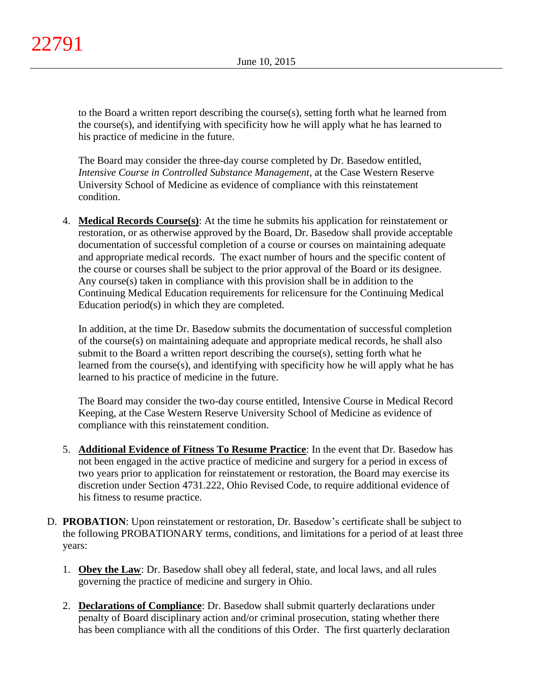to the Board a written report describing the course(s), setting forth what he learned from the course(s), and identifying with specificity how he will apply what he has learned to his practice of medicine in the future.

The Board may consider the three-day course completed by Dr. Basedow entitled, *Intensive Course in Controlled Substance Management*, at the Case Western Reserve University School of Medicine as evidence of compliance with this reinstatement condition.

4. **Medical Records Course(s)**: At the time he submits his application for reinstatement or restoration, or as otherwise approved by the Board, Dr. Basedow shall provide acceptable documentation of successful completion of a course or courses on maintaining adequate and appropriate medical records. The exact number of hours and the specific content of the course or courses shall be subject to the prior approval of the Board or its designee. Any course(s) taken in compliance with this provision shall be in addition to the Continuing Medical Education requirements for relicensure for the Continuing Medical Education period(s) in which they are completed.

In addition, at the time Dr. Basedow submits the documentation of successful completion of the course(s) on maintaining adequate and appropriate medical records, he shall also submit to the Board a written report describing the course(s), setting forth what he learned from the course(s), and identifying with specificity how he will apply what he has learned to his practice of medicine in the future.

The Board may consider the two-day course entitled, Intensive Course in Medical Record Keeping, at the Case Western Reserve University School of Medicine as evidence of compliance with this reinstatement condition.

- 5. **Additional Evidence of Fitness To Resume Practice**: In the event that Dr. Basedow has not been engaged in the active practice of medicine and surgery for a period in excess of two years prior to application for reinstatement or restoration, the Board may exercise its discretion under Section 4731.222, Ohio Revised Code, to require additional evidence of his fitness to resume practice.
- D. **PROBATION**: Upon reinstatement or restoration, Dr. Basedow's certificate shall be subject to the following PROBATIONARY terms, conditions, and limitations for a period of at least three years:
	- 1. **Obey the Law**: Dr. Basedow shall obey all federal, state, and local laws, and all rules governing the practice of medicine and surgery in Ohio.
	- 2. **Declarations of Compliance**: Dr. Basedow shall submit quarterly declarations under penalty of Board disciplinary action and/or criminal prosecution, stating whether there has been compliance with all the conditions of this Order. The first quarterly declaration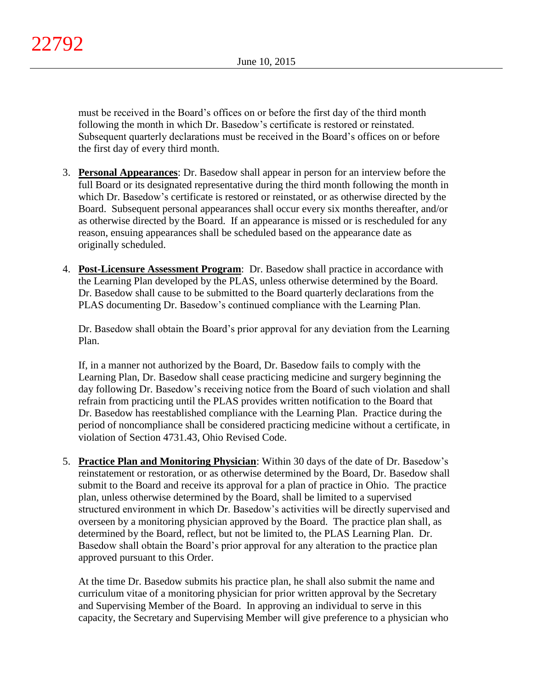must be received in the Board's offices on or before the first day of the third month following the month in which Dr. Basedow's certificate is restored or reinstated. Subsequent quarterly declarations must be received in the Board's offices on or before the first day of every third month.

- 3. **Personal Appearances**: Dr. Basedow shall appear in person for an interview before the full Board or its designated representative during the third month following the month in which Dr. Basedow's certificate is restored or reinstated, or as otherwise directed by the Board. Subsequent personal appearances shall occur every six months thereafter, and/or as otherwise directed by the Board. If an appearance is missed or is rescheduled for any reason, ensuing appearances shall be scheduled based on the appearance date as originally scheduled.
- 4. **Post-Licensure Assessment Program**: Dr. Basedow shall practice in accordance with the Learning Plan developed by the PLAS, unless otherwise determined by the Board. Dr. Basedow shall cause to be submitted to the Board quarterly declarations from the PLAS documenting Dr. Basedow's continued compliance with the Learning Plan.

Dr. Basedow shall obtain the Board's prior approval for any deviation from the Learning Plan.

If, in a manner not authorized by the Board, Dr. Basedow fails to comply with the Learning Plan, Dr. Basedow shall cease practicing medicine and surgery beginning the day following Dr. Basedow's receiving notice from the Board of such violation and shall refrain from practicing until the PLAS provides written notification to the Board that Dr. Basedow has reestablished compliance with the Learning Plan. Practice during the period of noncompliance shall be considered practicing medicine without a certificate, in violation of Section 4731.43, Ohio Revised Code.

5. **Practice Plan and Monitoring Physician**: Within 30 days of the date of Dr. Basedow's reinstatement or restoration, or as otherwise determined by the Board, Dr. Basedow shall submit to the Board and receive its approval for a plan of practice in Ohio. The practice plan, unless otherwise determined by the Board, shall be limited to a supervised structured environment in which Dr. Basedow's activities will be directly supervised and overseen by a monitoring physician approved by the Board. The practice plan shall, as determined by the Board, reflect, but not be limited to, the PLAS Learning Plan. Dr. Basedow shall obtain the Board's prior approval for any alteration to the practice plan approved pursuant to this Order.

At the time Dr. Basedow submits his practice plan, he shall also submit the name and curriculum vitae of a monitoring physician for prior written approval by the Secretary and Supervising Member of the Board. In approving an individual to serve in this capacity, the Secretary and Supervising Member will give preference to a physician who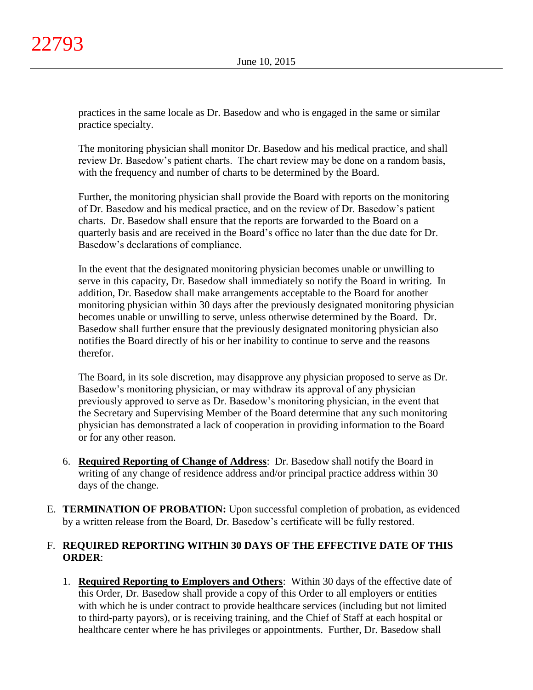practices in the same locale as Dr. Basedow and who is engaged in the same or similar practice specialty.

The monitoring physician shall monitor Dr. Basedow and his medical practice, and shall review Dr. Basedow's patient charts. The chart review may be done on a random basis, with the frequency and number of charts to be determined by the Board.

Further, the monitoring physician shall provide the Board with reports on the monitoring of Dr. Basedow and his medical practice, and on the review of Dr. Basedow's patient charts. Dr. Basedow shall ensure that the reports are forwarded to the Board on a quarterly basis and are received in the Board's office no later than the due date for Dr. Basedow's declarations of compliance.

In the event that the designated monitoring physician becomes unable or unwilling to serve in this capacity, Dr. Basedow shall immediately so notify the Board in writing. In addition, Dr. Basedow shall make arrangements acceptable to the Board for another monitoring physician within 30 days after the previously designated monitoring physician becomes unable or unwilling to serve, unless otherwise determined by the Board. Dr. Basedow shall further ensure that the previously designated monitoring physician also notifies the Board directly of his or her inability to continue to serve and the reasons therefor.

The Board, in its sole discretion, may disapprove any physician proposed to serve as Dr. Basedow's monitoring physician, or may withdraw its approval of any physician previously approved to serve as Dr. Basedow's monitoring physician, in the event that the Secretary and Supervising Member of the Board determine that any such monitoring physician has demonstrated a lack of cooperation in providing information to the Board or for any other reason.

- 6. **Required Reporting of Change of Address**: Dr. Basedow shall notify the Board in writing of any change of residence address and/or principal practice address within 30 days of the change.
- E. **TERMINATION OF PROBATION:** Upon successful completion of probation, as evidenced by a written release from the Board, Dr. Basedow's certificate will be fully restored.

# F. **REQUIRED REPORTING WITHIN 30 DAYS OF THE EFFECTIVE DATE OF THIS ORDER**:

1. **Required Reporting to Employers and Others**: Within 30 days of the effective date of this Order, Dr. Basedow shall provide a copy of this Order to all employers or entities with which he is under contract to provide healthcare services (including but not limited to third-party payors), or is receiving training, and the Chief of Staff at each hospital or healthcare center where he has privileges or appointments. Further, Dr. Basedow shall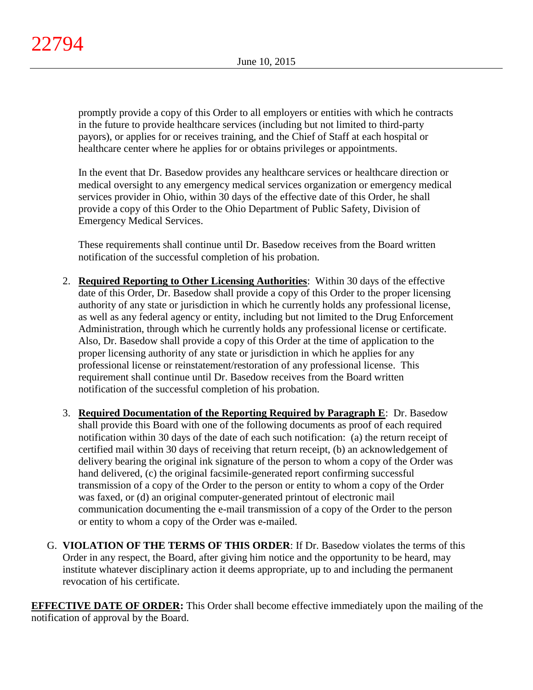promptly provide a copy of this Order to all employers or entities with which he contracts in the future to provide healthcare services (including but not limited to third-party payors), or applies for or receives training, and the Chief of Staff at each hospital or healthcare center where he applies for or obtains privileges or appointments.

In the event that Dr. Basedow provides any healthcare services or healthcare direction or medical oversight to any emergency medical services organization or emergency medical services provider in Ohio, within 30 days of the effective date of this Order, he shall provide a copy of this Order to the Ohio Department of Public Safety, Division of Emergency Medical Services.

These requirements shall continue until Dr. Basedow receives from the Board written notification of the successful completion of his probation.

- 2. **Required Reporting to Other Licensing Authorities**: Within 30 days of the effective date of this Order, Dr. Basedow shall provide a copy of this Order to the proper licensing authority of any state or jurisdiction in which he currently holds any professional license, as well as any federal agency or entity, including but not limited to the Drug Enforcement Administration, through which he currently holds any professional license or certificate. Also, Dr. Basedow shall provide a copy of this Order at the time of application to the proper licensing authority of any state or jurisdiction in which he applies for any professional license or reinstatement/restoration of any professional license. This requirement shall continue until Dr. Basedow receives from the Board written notification of the successful completion of his probation.
- 3. **Required Documentation of the Reporting Required by Paragraph E**: Dr. Basedow shall provide this Board with one of the following documents as proof of each required notification within 30 days of the date of each such notification: (a) the return receipt of certified mail within 30 days of receiving that return receipt, (b) an acknowledgement of delivery bearing the original ink signature of the person to whom a copy of the Order was hand delivered, (c) the original facsimile-generated report confirming successful transmission of a copy of the Order to the person or entity to whom a copy of the Order was faxed, or (d) an original computer-generated printout of electronic mail communication documenting the e-mail transmission of a copy of the Order to the person or entity to whom a copy of the Order was e-mailed.
- G. **VIOLATION OF THE TERMS OF THIS ORDER**: If Dr. Basedow violates the terms of this Order in any respect, the Board, after giving him notice and the opportunity to be heard, may institute whatever disciplinary action it deems appropriate, up to and including the permanent revocation of his certificate.

**EFFECTIVE DATE OF ORDER:** This Order shall become effective immediately upon the mailing of the notification of approval by the Board.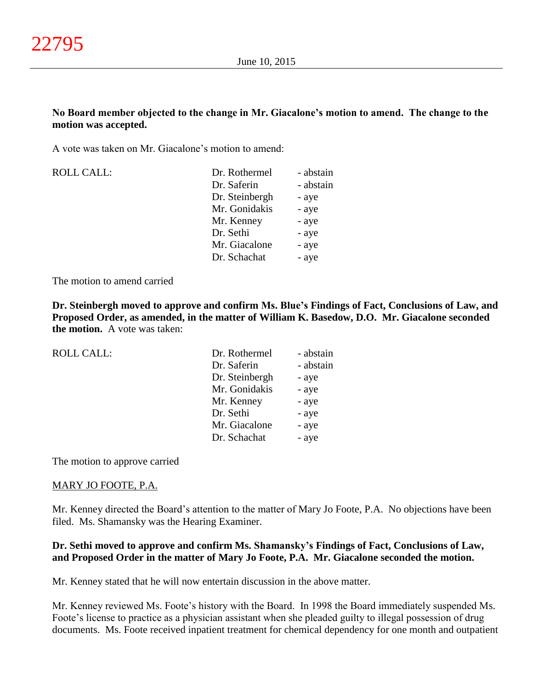# **No Board member objected to the change in Mr. Giacalone's motion to amend. The change to the motion was accepted.**

A vote was taken on Mr. Giacalone's motion to amend:

| <b>ROLL CALL:</b> | Dr. Rothermel  | - abstain |
|-------------------|----------------|-----------|
|                   | Dr. Saferin    | - abstain |
|                   | Dr. Steinbergh | - aye     |
|                   | Mr. Gonidakis  | - aye     |
|                   | Mr. Kenney     | - aye     |
|                   | Dr. Sethi      | - aye     |
|                   | Mr. Giacalone  | - aye     |
|                   | Dr. Schachat   | - aye     |

The motion to amend carried

**Dr. Steinbergh moved to approve and confirm Ms. Blue's Findings of Fact, Conclusions of Law, and Proposed Order, as amended, in the matter of William K. Basedow, D.O. Mr. Giacalone seconded the motion.** A vote was taken:

| <b>ROLL CALL:</b> | Dr. Rothermel  | - abstain |
|-------------------|----------------|-----------|
|                   | Dr. Saferin    | - abstain |
|                   | Dr. Steinbergh | - aye     |
|                   | Mr. Gonidakis  | - aye     |
|                   | Mr. Kenney     | - aye     |
|                   | Dr. Sethi      | - aye     |
|                   | Mr. Giacalone  | - aye     |
|                   | Dr. Schachat   | - aye     |
|                   |                |           |

The motion to approve carried

## MARY JO FOOTE, P.A.

Mr. Kenney directed the Board's attention to the matter of Mary Jo Foote, P.A. No objections have been filed. Ms. Shamansky was the Hearing Examiner.

# **Dr. Sethi moved to approve and confirm Ms. Shamansky's Findings of Fact, Conclusions of Law, and Proposed Order in the matter of Mary Jo Foote, P.A. Mr. Giacalone seconded the motion.**

Mr. Kenney stated that he will now entertain discussion in the above matter.

Mr. Kenney reviewed Ms. Foote's history with the Board. In 1998 the Board immediately suspended Ms. Foote's license to practice as a physician assistant when she pleaded guilty to illegal possession of drug documents. Ms. Foote received inpatient treatment for chemical dependency for one month and outpatient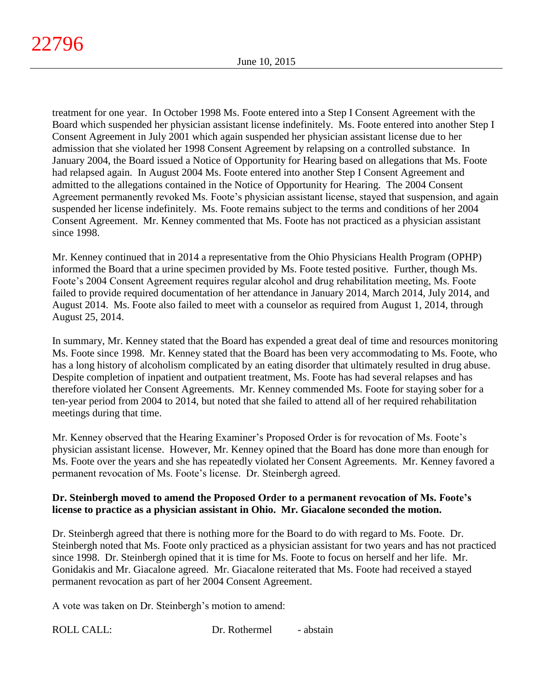treatment for one year. In October 1998 Ms. Foote entered into a Step I Consent Agreement with the Board which suspended her physician assistant license indefinitely. Ms. Foote entered into another Step I Consent Agreement in July 2001 which again suspended her physician assistant license due to her admission that she violated her 1998 Consent Agreement by relapsing on a controlled substance. In January 2004, the Board issued a Notice of Opportunity for Hearing based on allegations that Ms. Foote had relapsed again. In August 2004 Ms. Foote entered into another Step I Consent Agreement and admitted to the allegations contained in the Notice of Opportunity for Hearing. The 2004 Consent Agreement permanently revoked Ms. Foote's physician assistant license, stayed that suspension, and again suspended her license indefinitely. Ms. Foote remains subject to the terms and conditions of her 2004 Consent Agreement. Mr. Kenney commented that Ms. Foote has not practiced as a physician assistant since 1998.

Mr. Kenney continued that in 2014 a representative from the Ohio Physicians Health Program (OPHP) informed the Board that a urine specimen provided by Ms. Foote tested positive. Further, though Ms. Foote's 2004 Consent Agreement requires regular alcohol and drug rehabilitation meeting, Ms. Foote failed to provide required documentation of her attendance in January 2014, March 2014, July 2014, and August 2014. Ms. Foote also failed to meet with a counselor as required from August 1, 2014, through August 25, 2014.

In summary, Mr. Kenney stated that the Board has expended a great deal of time and resources monitoring Ms. Foote since 1998. Mr. Kenney stated that the Board has been very accommodating to Ms. Foote, who has a long history of alcoholism complicated by an eating disorder that ultimately resulted in drug abuse. Despite completion of inpatient and outpatient treatment, Ms. Foote has had several relapses and has therefore violated her Consent Agreements. Mr. Kenney commended Ms. Foote for staying sober for a ten-year period from 2004 to 2014, but noted that she failed to attend all of her required rehabilitation meetings during that time.

Mr. Kenney observed that the Hearing Examiner's Proposed Order is for revocation of Ms. Foote's physician assistant license. However, Mr. Kenney opined that the Board has done more than enough for Ms. Foote over the years and she has repeatedly violated her Consent Agreements. Mr. Kenney favored a permanent revocation of Ms. Foote's license. Dr. Steinbergh agreed.

# **Dr. Steinbergh moved to amend the Proposed Order to a permanent revocation of Ms. Foote's license to practice as a physician assistant in Ohio. Mr. Giacalone seconded the motion.**

Dr. Steinbergh agreed that there is nothing more for the Board to do with regard to Ms. Foote. Dr. Steinbergh noted that Ms. Foote only practiced as a physician assistant for two years and has not practiced since 1998. Dr. Steinbergh opined that it is time for Ms. Foote to focus on herself and her life. Mr. Gonidakis and Mr. Giacalone agreed. Mr. Giacalone reiterated that Ms. Foote had received a stayed permanent revocation as part of her 2004 Consent Agreement.

A vote was taken on Dr. Steinbergh's motion to amend: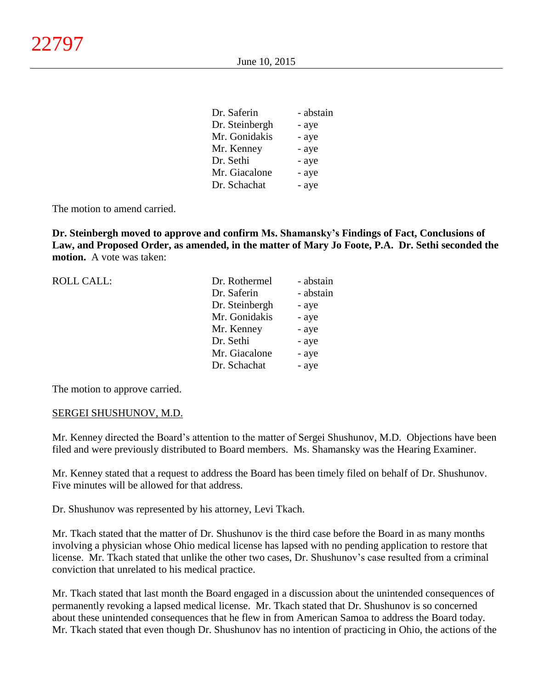| Dr. Saferin    | - abstain |
|----------------|-----------|
| Dr. Steinbergh | - aye     |
| Mr. Gonidakis  | - aye     |
| Mr. Kenney     | - aye     |
| Dr. Sethi      | - aye     |
| Mr. Giacalone  | - aye     |
| Dr. Schachat   | - aye     |

The motion to amend carried.

**Dr. Steinbergh moved to approve and confirm Ms. Shamansky's Findings of Fact, Conclusions of Law, and Proposed Order, as amended, in the matter of Mary Jo Foote, P.A. Dr. Sethi seconded the motion.** A vote was taken:

| <b>ROLL CALL:</b> | Dr. Rothermel  | - abstain |
|-------------------|----------------|-----------|
|                   | Dr. Saferin    | - abstain |
|                   | Dr. Steinbergh | - aye     |
|                   | Mr. Gonidakis  | - aye     |
|                   | Mr. Kenney     | - aye     |
|                   | Dr. Sethi      | - aye     |
|                   | Mr. Giacalone  | - aye     |
|                   | Dr. Schachat   | - aye     |
|                   |                |           |

The motion to approve carried.

#### SERGEI SHUSHUNOV, M.D.

Mr. Kenney directed the Board's attention to the matter of Sergei Shushunov, M.D. Objections have been filed and were previously distributed to Board members. Ms. Shamansky was the Hearing Examiner.

Mr. Kenney stated that a request to address the Board has been timely filed on behalf of Dr. Shushunov. Five minutes will be allowed for that address.

Dr. Shushunov was represented by his attorney, Levi Tkach.

Mr. Tkach stated that the matter of Dr. Shushunov is the third case before the Board in as many months involving a physician whose Ohio medical license has lapsed with no pending application to restore that license. Mr. Tkach stated that unlike the other two cases, Dr. Shushunov's case resulted from a criminal conviction that unrelated to his medical practice.

Mr. Tkach stated that last month the Board engaged in a discussion about the unintended consequences of permanently revoking a lapsed medical license. Mr. Tkach stated that Dr. Shushunov is so concerned about these unintended consequences that he flew in from American Samoa to address the Board today. Mr. Tkach stated that even though Dr. Shushunov has no intention of practicing in Ohio, the actions of the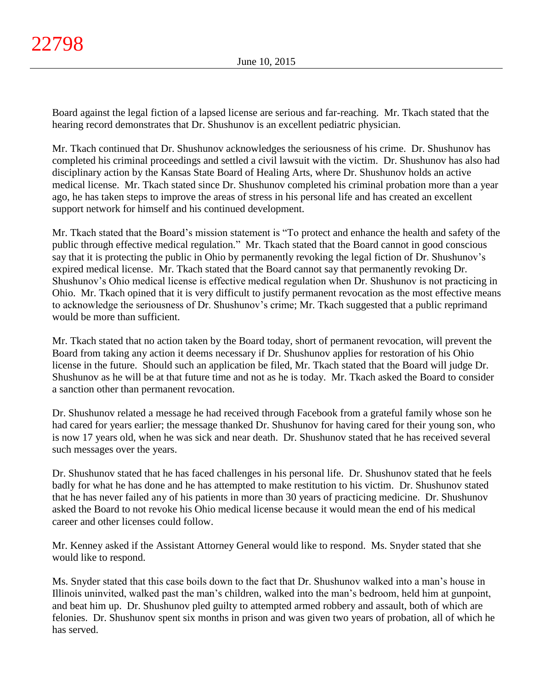Board against the legal fiction of a lapsed license are serious and far-reaching. Mr. Tkach stated that the hearing record demonstrates that Dr. Shushunov is an excellent pediatric physician.

Mr. Tkach continued that Dr. Shushunov acknowledges the seriousness of his crime. Dr. Shushunov has completed his criminal proceedings and settled a civil lawsuit with the victim. Dr. Shushunov has also had disciplinary action by the Kansas State Board of Healing Arts, where Dr. Shushunov holds an active medical license. Mr. Tkach stated since Dr. Shushunov completed his criminal probation more than a year ago, he has taken steps to improve the areas of stress in his personal life and has created an excellent support network for himself and his continued development.

Mr. Tkach stated that the Board's mission statement is "To protect and enhance the health and safety of the public through effective medical regulation." Mr. Tkach stated that the Board cannot in good conscious say that it is protecting the public in Ohio by permanently revoking the legal fiction of Dr. Shushunov's expired medical license. Mr. Tkach stated that the Board cannot say that permanently revoking Dr. Shushunov's Ohio medical license is effective medical regulation when Dr. Shushunov is not practicing in Ohio. Mr. Tkach opined that it is very difficult to justify permanent revocation as the most effective means to acknowledge the seriousness of Dr. Shushunov's crime; Mr. Tkach suggested that a public reprimand would be more than sufficient.

Mr. Tkach stated that no action taken by the Board today, short of permanent revocation, will prevent the Board from taking any action it deems necessary if Dr. Shushunov applies for restoration of his Ohio license in the future. Should such an application be filed, Mr. Tkach stated that the Board will judge Dr. Shushunov as he will be at that future time and not as he is today. Mr. Tkach asked the Board to consider a sanction other than permanent revocation.

Dr. Shushunov related a message he had received through Facebook from a grateful family whose son he had cared for years earlier; the message thanked Dr. Shushunov for having cared for their young son, who is now 17 years old, when he was sick and near death. Dr. Shushunov stated that he has received several such messages over the years.

Dr. Shushunov stated that he has faced challenges in his personal life. Dr. Shushunov stated that he feels badly for what he has done and he has attempted to make restitution to his victim. Dr. Shushunov stated that he has never failed any of his patients in more than 30 years of practicing medicine. Dr. Shushunov asked the Board to not revoke his Ohio medical license because it would mean the end of his medical career and other licenses could follow.

Mr. Kenney asked if the Assistant Attorney General would like to respond. Ms. Snyder stated that she would like to respond.

Ms. Snyder stated that this case boils down to the fact that Dr. Shushunov walked into a man's house in Illinois uninvited, walked past the man's children, walked into the man's bedroom, held him at gunpoint, and beat him up. Dr. Shushunov pled guilty to attempted armed robbery and assault, both of which are felonies. Dr. Shushunov spent six months in prison and was given two years of probation, all of which he has served.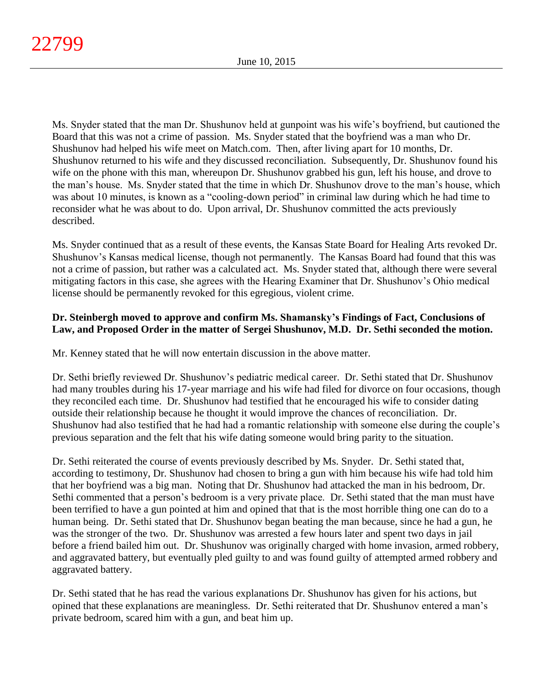Ms. Snyder stated that the man Dr. Shushunov held at gunpoint was his wife's boyfriend, but cautioned the Board that this was not a crime of passion. Ms. Snyder stated that the boyfriend was a man who Dr. Shushunov had helped his wife meet on Match.com. Then, after living apart for 10 months, Dr. Shushunov returned to his wife and they discussed reconciliation. Subsequently, Dr. Shushunov found his wife on the phone with this man, whereupon Dr. Shushunov grabbed his gun, left his house, and drove to the man's house. Ms. Snyder stated that the time in which Dr. Shushunov drove to the man's house, which was about 10 minutes, is known as a "cooling-down period" in criminal law during which he had time to reconsider what he was about to do. Upon arrival, Dr. Shushunov committed the acts previously described.

Ms. Snyder continued that as a result of these events, the Kansas State Board for Healing Arts revoked Dr. Shushunov's Kansas medical license, though not permanently. The Kansas Board had found that this was not a crime of passion, but rather was a calculated act. Ms. Snyder stated that, although there were several mitigating factors in this case, she agrees with the Hearing Examiner that Dr. Shushunov's Ohio medical license should be permanently revoked for this egregious, violent crime.

# **Dr. Steinbergh moved to approve and confirm Ms. Shamansky's Findings of Fact, Conclusions of Law, and Proposed Order in the matter of Sergei Shushunov, M.D. Dr. Sethi seconded the motion.**

Mr. Kenney stated that he will now entertain discussion in the above matter.

Dr. Sethi briefly reviewed Dr. Shushunov's pediatric medical career. Dr. Sethi stated that Dr. Shushunov had many troubles during his 17-year marriage and his wife had filed for divorce on four occasions, though they reconciled each time. Dr. Shushunov had testified that he encouraged his wife to consider dating outside their relationship because he thought it would improve the chances of reconciliation. Dr. Shushunov had also testified that he had had a romantic relationship with someone else during the couple's previous separation and the felt that his wife dating someone would bring parity to the situation.

Dr. Sethi reiterated the course of events previously described by Ms. Snyder. Dr. Sethi stated that, according to testimony, Dr. Shushunov had chosen to bring a gun with him because his wife had told him that her boyfriend was a big man. Noting that Dr. Shushunov had attacked the man in his bedroom, Dr. Sethi commented that a person's bedroom is a very private place. Dr. Sethi stated that the man must have been terrified to have a gun pointed at him and opined that that is the most horrible thing one can do to a human being. Dr. Sethi stated that Dr. Shushunov began beating the man because, since he had a gun, he was the stronger of the two. Dr. Shushunov was arrested a few hours later and spent two days in jail before a friend bailed him out. Dr. Shushunov was originally charged with home invasion, armed robbery, and aggravated battery, but eventually pled guilty to and was found guilty of attempted armed robbery and aggravated battery.

Dr. Sethi stated that he has read the various explanations Dr. Shushunov has given for his actions, but opined that these explanations are meaningless. Dr. Sethi reiterated that Dr. Shushunov entered a man's private bedroom, scared him with a gun, and beat him up.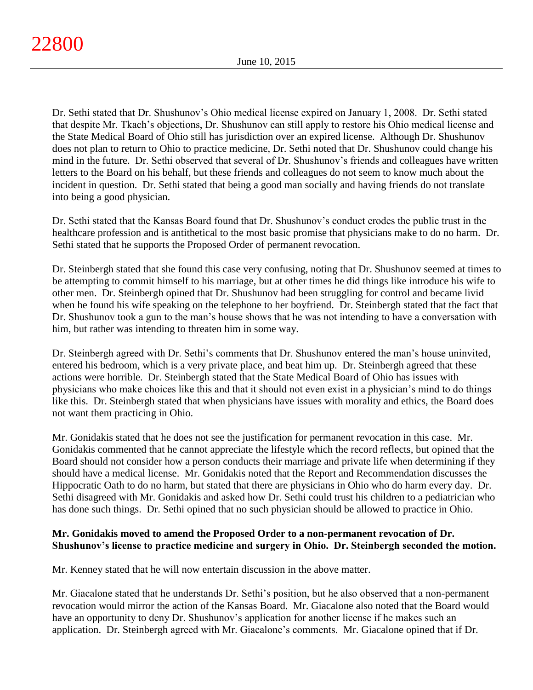Dr. Sethi stated that Dr. Shushunov's Ohio medical license expired on January 1, 2008. Dr. Sethi stated that despite Mr. Tkach's objections, Dr. Shushunov can still apply to restore his Ohio medical license and the State Medical Board of Ohio still has jurisdiction over an expired license. Although Dr. Shushunov does not plan to return to Ohio to practice medicine, Dr. Sethi noted that Dr. Shushunov could change his mind in the future. Dr. Sethi observed that several of Dr. Shushunov's friends and colleagues have written letters to the Board on his behalf, but these friends and colleagues do not seem to know much about the incident in question. Dr. Sethi stated that being a good man socially and having friends do not translate into being a good physician.

Dr. Sethi stated that the Kansas Board found that Dr. Shushunov's conduct erodes the public trust in the healthcare profession and is antithetical to the most basic promise that physicians make to do no harm. Dr. Sethi stated that he supports the Proposed Order of permanent revocation.

Dr. Steinbergh stated that she found this case very confusing, noting that Dr. Shushunov seemed at times to be attempting to commit himself to his marriage, but at other times he did things like introduce his wife to other men. Dr. Steinbergh opined that Dr. Shushunov had been struggling for control and became livid when he found his wife speaking on the telephone to her boyfriend. Dr. Steinbergh stated that the fact that Dr. Shushunov took a gun to the man's house shows that he was not intending to have a conversation with him, but rather was intending to threaten him in some way.

Dr. Steinbergh agreed with Dr. Sethi's comments that Dr. Shushunov entered the man's house uninvited, entered his bedroom, which is a very private place, and beat him up. Dr. Steinbergh agreed that these actions were horrible. Dr. Steinbergh stated that the State Medical Board of Ohio has issues with physicians who make choices like this and that it should not even exist in a physician's mind to do things like this. Dr. Steinbergh stated that when physicians have issues with morality and ethics, the Board does not want them practicing in Ohio.

Mr. Gonidakis stated that he does not see the justification for permanent revocation in this case. Mr. Gonidakis commented that he cannot appreciate the lifestyle which the record reflects, but opined that the Board should not consider how a person conducts their marriage and private life when determining if they should have a medical license. Mr. Gonidakis noted that the Report and Recommendation discusses the Hippocratic Oath to do no harm, but stated that there are physicians in Ohio who do harm every day. Dr. Sethi disagreed with Mr. Gonidakis and asked how Dr. Sethi could trust his children to a pediatrician who has done such things. Dr. Sethi opined that no such physician should be allowed to practice in Ohio.

# **Mr. Gonidakis moved to amend the Proposed Order to a non-permanent revocation of Dr. Shushunov's license to practice medicine and surgery in Ohio. Dr. Steinbergh seconded the motion.**

Mr. Kenney stated that he will now entertain discussion in the above matter.

Mr. Giacalone stated that he understands Dr. Sethi's position, but he also observed that a non-permanent revocation would mirror the action of the Kansas Board. Mr. Giacalone also noted that the Board would have an opportunity to deny Dr. Shushunov's application for another license if he makes such an application. Dr. Steinbergh agreed with Mr. Giacalone's comments. Mr. Giacalone opined that if Dr.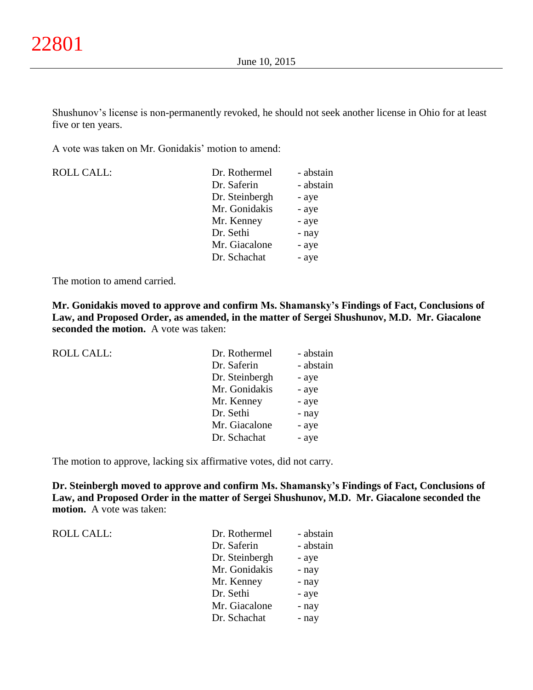Shushunov's license is non-permanently revoked, he should not seek another license in Ohio for at least five or ten years.

A vote was taken on Mr. Gonidakis' motion to amend:

| <b>ROLL CALL:</b> |  |
|-------------------|--|
|-------------------|--|

| <b>ROLL CALL:</b> | Dr. Rothermel  | - abstain |
|-------------------|----------------|-----------|
|                   | Dr. Saferin    | - abstain |
|                   | Dr. Steinbergh | - aye     |
|                   | Mr. Gonidakis  | - aye     |
|                   | Mr. Kenney     | - aye     |
|                   | Dr. Sethi      | - nay     |
|                   | Mr. Giacalone  | - aye     |
|                   | Dr. Schachat   | - aye     |
|                   |                |           |

The motion to amend carried.

**Mr. Gonidakis moved to approve and confirm Ms. Shamansky's Findings of Fact, Conclusions of Law, and Proposed Order, as amended, in the matter of Sergei Shushunov, M.D. Mr. Giacalone seconded the motion.** A vote was taken:

| <b>ROLL CALL:</b> | Dr. Rothermel  | - abstain |
|-------------------|----------------|-----------|
|                   | Dr. Saferin    | - abstain |
|                   | Dr. Steinbergh | - aye     |
|                   | Mr. Gonidakis  | - aye     |
|                   | Mr. Kenney     | - aye     |
|                   | Dr. Sethi      | - nay     |
|                   | Mr. Giacalone  | - aye     |
|                   | Dr. Schachat   | - aye     |

The motion to approve, lacking six affirmative votes, did not carry.

**Dr. Steinbergh moved to approve and confirm Ms. Shamansky's Findings of Fact, Conclusions of Law, and Proposed Order in the matter of Sergei Shushunov, M.D. Mr. Giacalone seconded the motion.** A vote was taken:

| <b>ROLL CALL:</b> |
|-------------------|
|-------------------|

| ROLL CALL: | Dr. Rothermel  | - abstain |
|------------|----------------|-----------|
|            | Dr. Saferin    | - abstain |
|            | Dr. Steinbergh | - aye     |
|            | Mr. Gonidakis  | - nay     |
|            | Mr. Kenney     | - nay     |
|            | Dr. Sethi      | - aye     |
|            | Mr. Giacalone  | - nay     |
|            | Dr. Schachat   | - nay     |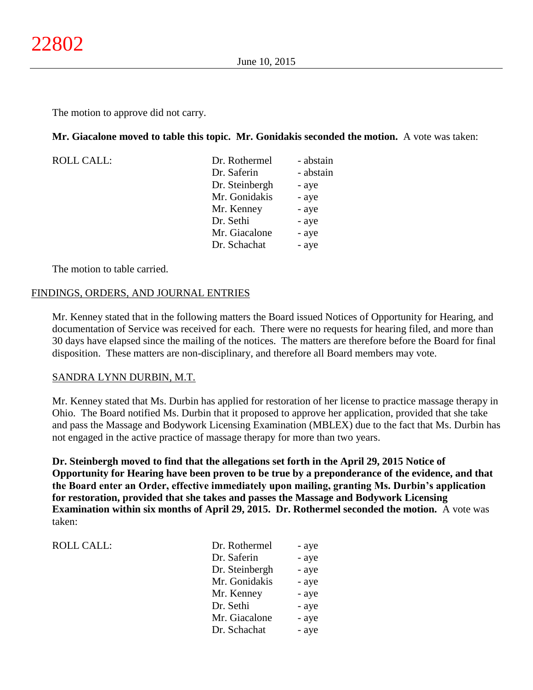The motion to approve did not carry.

## **Mr. Giacalone moved to table this topic. Mr. Gonidakis seconded the motion.** A vote was taken:

| <b>ROLL CALL:</b> | Dr. Rothermel  | - abstain |
|-------------------|----------------|-----------|
|                   | Dr. Saferin    | - abstain |
|                   | Dr. Steinbergh | - aye     |
|                   | Mr. Gonidakis  | - aye     |
|                   | Mr. Kenney     | - aye     |
|                   | Dr. Sethi      | - aye     |
|                   | Mr. Giacalone  | - aye     |
|                   | Dr. Schachat   | - aye     |
|                   |                |           |

The motion to table carried.

## FINDINGS, ORDERS, AND JOURNAL ENTRIES

Mr. Kenney stated that in the following matters the Board issued Notices of Opportunity for Hearing, and documentation of Service was received for each. There were no requests for hearing filed, and more than 30 days have elapsed since the mailing of the notices. The matters are therefore before the Board for final disposition. These matters are non-disciplinary, and therefore all Board members may vote.

## SANDRA LYNN DURBIN, M.T.

Mr. Kenney stated that Ms. Durbin has applied for restoration of her license to practice massage therapy in Ohio. The Board notified Ms. Durbin that it proposed to approve her application, provided that she take and pass the Massage and Bodywork Licensing Examination (MBLEX) due to the fact that Ms. Durbin has not engaged in the active practice of massage therapy for more than two years.

**Dr. Steinbergh moved to find that the allegations set forth in the April 29, 2015 Notice of Opportunity for Hearing have been proven to be true by a preponderance of the evidence, and that the Board enter an Order, effective immediately upon mailing, granting Ms. Durbin's application for restoration, provided that she takes and passes the Massage and Bodywork Licensing Examination within six months of April 29, 2015. Dr. Rothermel seconded the motion.** A vote was taken:

ROLL CALL: DR. ROLL CALL:

| Dr. Rothermel  | - aye |
|----------------|-------|
| Dr. Saferin    | - aye |
| Dr. Steinbergh | - aye |
| Mr. Gonidakis  | - aye |
| Mr. Kenney     | - aye |
| Dr. Sethi      | - aye |
| Mr. Giacalone  | - aye |
| Dr. Schachat   | - aye |
|                |       |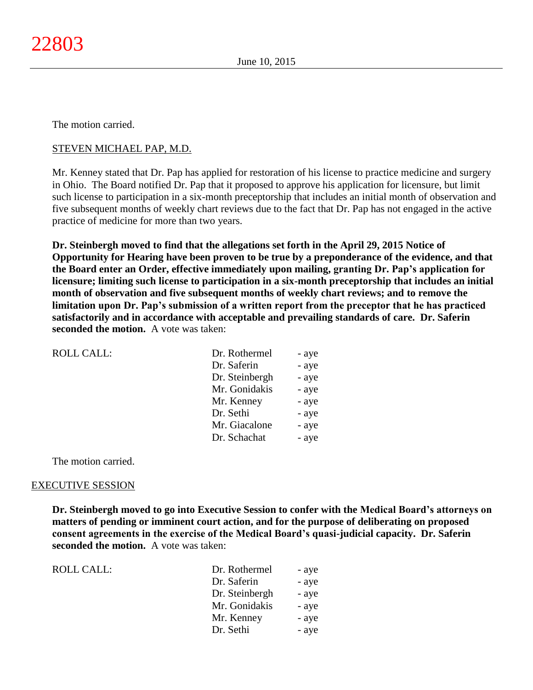## STEVEN MICHAEL PAP, M.D.

Mr. Kenney stated that Dr. Pap has applied for restoration of his license to practice medicine and surgery in Ohio. The Board notified Dr. Pap that it proposed to approve his application for licensure, but limit such license to participation in a six-month preceptorship that includes an initial month of observation and five subsequent months of weekly chart reviews due to the fact that Dr. Pap has not engaged in the active practice of medicine for more than two years.

**Dr. Steinbergh moved to find that the allegations set forth in the April 29, 2015 Notice of Opportunity for Hearing have been proven to be true by a preponderance of the evidence, and that the Board enter an Order, effective immediately upon mailing, granting Dr. Pap's application for licensure; limiting such license to participation in a six-month preceptorship that includes an initial month of observation and five subsequent months of weekly chart reviews; and to remove the limitation upon Dr. Pap's submission of a written report from the preceptor that he has practiced satisfactorily and in accordance with acceptable and prevailing standards of care. Dr. Saferin seconded the motion.** A vote was taken:

| <b>ROLL CALL:</b> | Dr. Rothermel  | - aye |
|-------------------|----------------|-------|
|                   | Dr. Saferin    | - aye |
|                   | Dr. Steinbergh | - aye |
|                   | Mr. Gonidakis  | - aye |
|                   | Mr. Kenney     | - aye |
|                   | Dr. Sethi      | - aye |
|                   | Mr. Giacalone  | - aye |
|                   | Dr. Schachat   | - aye |
|                   |                |       |

The motion carried.

#### EXECUTIVE SESSION

**Dr. Steinbergh moved to go into Executive Session to confer with the Medical Board's attorneys on matters of pending or imminent court action, and for the purpose of deliberating on proposed consent agreements in the exercise of the Medical Board's quasi-judicial capacity. Dr. Saferin seconded the motion.** A vote was taken:

| ROLL CALL: | Dr. Rothermel  | - aye |
|------------|----------------|-------|
|            | Dr. Saferin    | - aye |
|            | Dr. Steinbergh | - aye |
|            | Mr. Gonidakis  | - aye |
|            | Mr. Kenney     | - aye |
|            | Dr. Sethi      | - aye |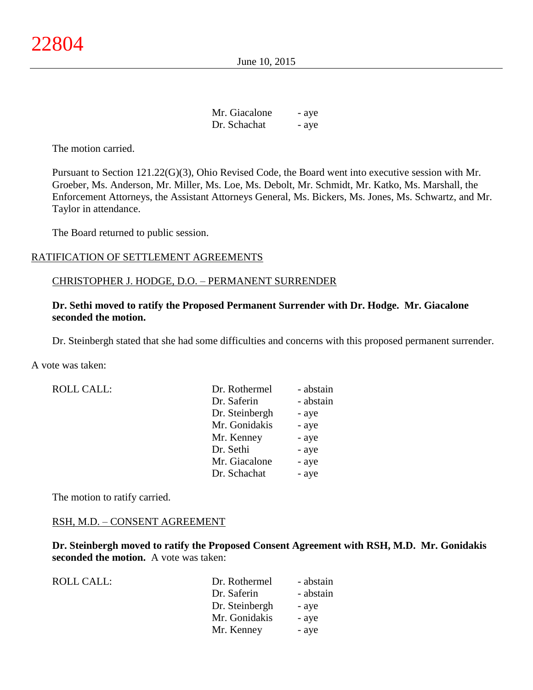June 10, 2015

| Mr. Giacalone | - aye |
|---------------|-------|
| Dr. Schachat  | - aye |

The motion carried.

Pursuant to Section 121.22(G)(3), Ohio Revised Code, the Board went into executive session with Mr. Groeber, Ms. Anderson, Mr. Miller, Ms. Loe, Ms. Debolt, Mr. Schmidt, Mr. Katko, Ms. Marshall, the Enforcement Attorneys, the Assistant Attorneys General, Ms. Bickers, Ms. Jones, Ms. Schwartz, and Mr. Taylor in attendance.

The Board returned to public session.

## RATIFICATION OF SETTLEMENT AGREEMENTS

#### CHRISTOPHER J. HODGE, D.O. – PERMANENT SURRENDER

## **Dr. Sethi moved to ratify the Proposed Permanent Surrender with Dr. Hodge. Mr. Giacalone seconded the motion.**

Dr. Steinbergh stated that she had some difficulties and concerns with this proposed permanent surrender.

A vote was taken:

| <b>ROLL CALL:</b> | Dr. Rothermel  | - abstain |
|-------------------|----------------|-----------|
|                   | Dr. Saferin    | - abstain |
|                   | Dr. Steinbergh | - aye     |
|                   | Mr. Gonidakis  | - aye     |
|                   | Mr. Kenney     | - aye     |
|                   | Dr. Sethi      | - aye     |
|                   | Mr. Giacalone  | - aye     |
|                   | Dr. Schachat   | - aye     |

The motion to ratify carried.

#### RSH, M.D. – CONSENT AGREEMENT

**Dr. Steinbergh moved to ratify the Proposed Consent Agreement with RSH, M.D. Mr. Gonidakis seconded the motion.** A vote was taken:

| ROLL CALL: | Dr. Rothermel  | - abstain |
|------------|----------------|-----------|
|            | Dr. Saferin    | - abstain |
|            | Dr. Steinbergh | - aye     |
|            | Mr. Gonidakis  | - ave     |
|            | Mr. Kenney     | - aye     |
|            |                |           |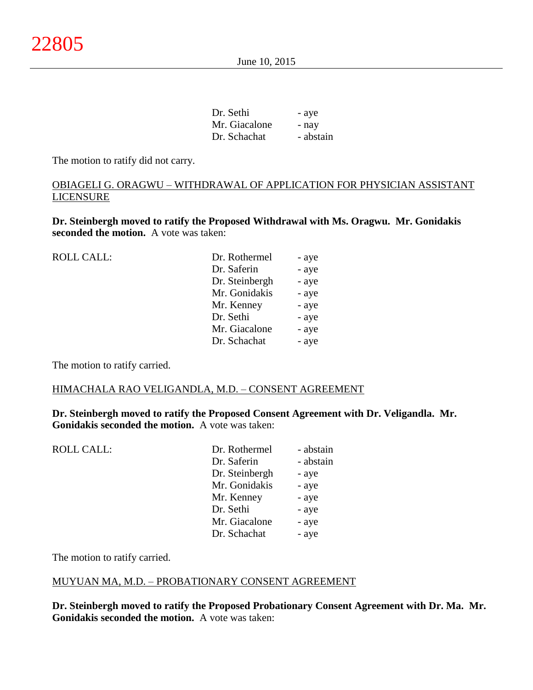| Dr. Sethi     | - aye     |
|---------------|-----------|
| Mr. Giacalone | - nav     |
| Dr. Schachat  | - abstain |

The motion to ratify did not carry.

# OBIAGELI G. ORAGWU – WITHDRAWAL OF APPLICATION FOR PHYSICIAN ASSISTANT LICENSURE

**Dr. Steinbergh moved to ratify the Proposed Withdrawal with Ms. Oragwu. Mr. Gonidakis seconded the motion.** A vote was taken:

| <b>ROLL CALL:</b> | Dr. Rothermel  | - aye |
|-------------------|----------------|-------|
|                   | Dr. Saferin    | - aye |
|                   | Dr. Steinbergh | - aye |
|                   | Mr. Gonidakis  | - aye |
|                   | Mr. Kenney     | - aye |
|                   | Dr. Sethi      | - aye |
|                   | Mr. Giacalone  | - aye |
|                   | Dr. Schachat   | - aye |
|                   |                |       |

The motion to ratify carried.

### HIMACHALA RAO VELIGANDLA, M.D. – CONSENT AGREEMENT

**Dr. Steinbergh moved to ratify the Proposed Consent Agreement with Dr. Veligandla. Mr. Gonidakis seconded the motion.** A vote was taken:

| - abstain |
|-----------|
| - abstain |
| - aye     |
| - aye     |
| - aye     |
| - aye     |
| - aye     |
| - aye     |
|           |

The motion to ratify carried.

## MUYUAN MA, M.D. – PROBATIONARY CONSENT AGREEMENT

**Dr. Steinbergh moved to ratify the Proposed Probationary Consent Agreement with Dr. Ma. Mr. Gonidakis seconded the motion.** A vote was taken: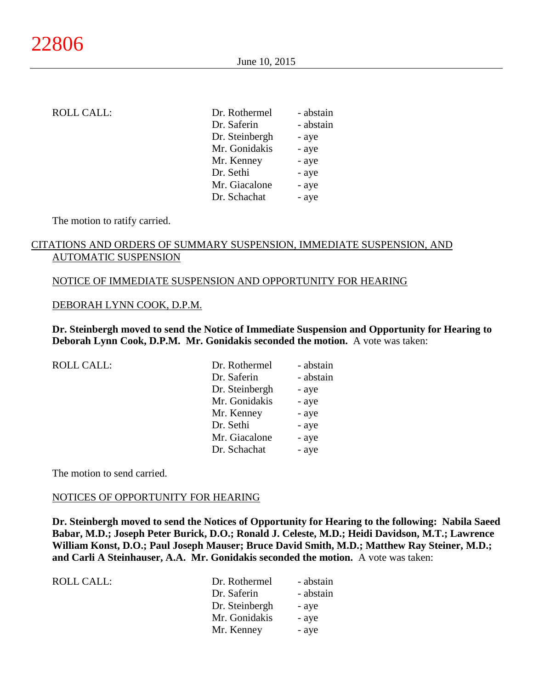| <b>ROLL CALL:</b> | Dr. Rothermel  | - abstain |
|-------------------|----------------|-----------|
|                   | Dr. Saferin    | - abstain |
|                   | Dr. Steinbergh | - aye     |
|                   | Mr. Gonidakis  | - aye     |
|                   | Mr. Kenney     | - aye     |
|                   | Dr. Sethi      | - aye     |
|                   | Mr. Giacalone  | - aye     |
|                   | Dr. Schachat   | - aye     |
|                   |                |           |

The motion to ratify carried.

# CITATIONS AND ORDERS OF SUMMARY SUSPENSION, IMMEDIATE SUSPENSION, AND AUTOMATIC SUSPENSION

#### NOTICE OF IMMEDIATE SUSPENSION AND OPPORTUNITY FOR HEARING

#### DEBORAH LYNN COOK, D.P.M.

**Dr. Steinbergh moved to send the Notice of Immediate Suspension and Opportunity for Hearing to Deborah Lynn Cook, D.P.M. Mr. Gonidakis seconded the motion.** A vote was taken:

| Dr. Rothermel  | - abstain |
|----------------|-----------|
| Dr. Saferin    | - abstain |
| Dr. Steinbergh | - aye     |
| Mr. Gonidakis  | - aye     |
| Mr. Kenney     | - aye     |
| Dr. Sethi      | - aye     |
| Mr. Giacalone  | - aye     |
| Dr. Schachat   | - aye     |
|                |           |

The motion to send carried.

#### NOTICES OF OPPORTUNITY FOR HEARING

**Dr. Steinbergh moved to send the Notices of Opportunity for Hearing to the following: Nabila Saeed Babar, M.D.; Joseph Peter Burick, D.O.; Ronald J. Celeste, M.D.; Heidi Davidson, M.T.; Lawrence William Konst, D.O.; Paul Joseph Mauser; Bruce David Smith, M.D.; Matthew Ray Steiner, M.D.; and Carli A Steinhauser, A.A. Mr. Gonidakis seconded the motion.** A vote was taken:

| ROLL CALL: | Dr. Rothermel  | - abstain |
|------------|----------------|-----------|
|            | Dr. Saferin    | - abstain |
|            | Dr. Steinbergh | - aye     |
|            | Mr. Gonidakis  | - aye     |
|            | Mr. Kenney     | - aye     |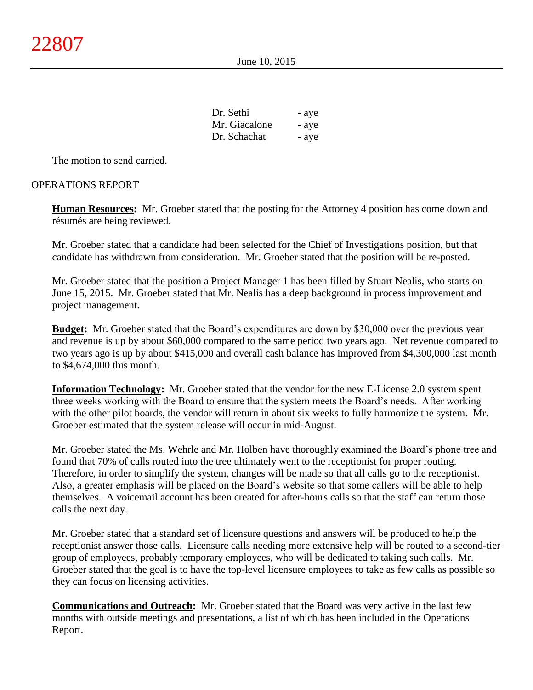June 10, 2015

| Dr. Sethi     | - aye |
|---------------|-------|
| Mr. Giacalone | - aye |
| Dr. Schachat  | - aye |

The motion to send carried.

## OPERATIONS REPORT

**Human Resources:** Mr. Groeber stated that the posting for the Attorney 4 position has come down and résumés are being reviewed.

Mr. Groeber stated that a candidate had been selected for the Chief of Investigations position, but that candidate has withdrawn from consideration. Mr. Groeber stated that the position will be re-posted.

Mr. Groeber stated that the position a Project Manager 1 has been filled by Stuart Nealis, who starts on June 15, 2015. Mr. Groeber stated that Mr. Nealis has a deep background in process improvement and project management.

**Budget:** Mr. Groeber stated that the Board's expenditures are down by \$30,000 over the previous year and revenue is up by about \$60,000 compared to the same period two years ago. Net revenue compared to two years ago is up by about \$415,000 and overall cash balance has improved from \$4,300,000 last month to \$4,674,000 this month.

**Information Technology:** Mr. Groeber stated that the vendor for the new E-License 2.0 system spent three weeks working with the Board to ensure that the system meets the Board's needs. After working with the other pilot boards, the vendor will return in about six weeks to fully harmonize the system. Mr. Groeber estimated that the system release will occur in mid-August.

Mr. Groeber stated the Ms. Wehrle and Mr. Holben have thoroughly examined the Board's phone tree and found that 70% of calls routed into the tree ultimately went to the receptionist for proper routing. Therefore, in order to simplify the system, changes will be made so that all calls go to the receptionist. Also, a greater emphasis will be placed on the Board's website so that some callers will be able to help themselves. A voicemail account has been created for after-hours calls so that the staff can return those calls the next day.

Mr. Groeber stated that a standard set of licensure questions and answers will be produced to help the receptionist answer those calls. Licensure calls needing more extensive help will be routed to a second-tier group of employees, probably temporary employees, who will be dedicated to taking such calls. Mr. Groeber stated that the goal is to have the top-level licensure employees to take as few calls as possible so they can focus on licensing activities.

**Communications and Outreach:** Mr. Groeber stated that the Board was very active in the last few months with outside meetings and presentations, a list of which has been included in the Operations Report.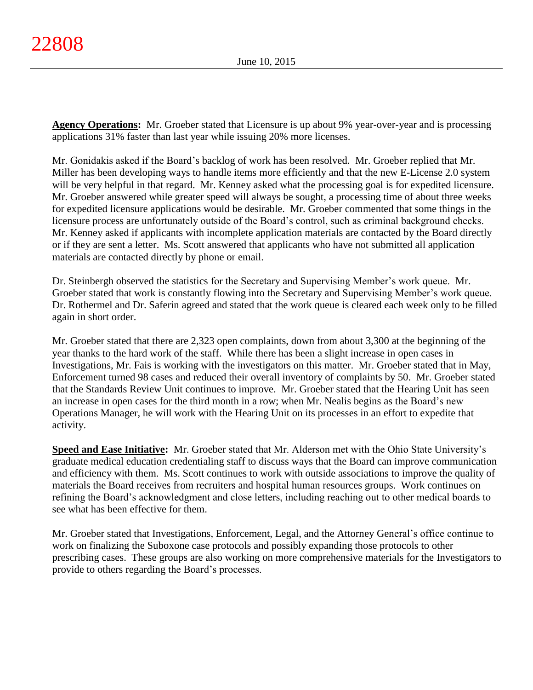**Agency Operations:** Mr. Groeber stated that Licensure is up about 9% year-over-year and is processing applications 31% faster than last year while issuing 20% more licenses.

Mr. Gonidakis asked if the Board's backlog of work has been resolved. Mr. Groeber replied that Mr. Miller has been developing ways to handle items more efficiently and that the new E-License 2.0 system will be very helpful in that regard. Mr. Kenney asked what the processing goal is for expedited licensure. Mr. Groeber answered while greater speed will always be sought, a processing time of about three weeks for expedited licensure applications would be desirable. Mr. Groeber commented that some things in the licensure process are unfortunately outside of the Board's control, such as criminal background checks. Mr. Kenney asked if applicants with incomplete application materials are contacted by the Board directly or if they are sent a letter. Ms. Scott answered that applicants who have not submitted all application materials are contacted directly by phone or email.

Dr. Steinbergh observed the statistics for the Secretary and Supervising Member's work queue. Mr. Groeber stated that work is constantly flowing into the Secretary and Supervising Member's work queue. Dr. Rothermel and Dr. Saferin agreed and stated that the work queue is cleared each week only to be filled again in short order.

Mr. Groeber stated that there are 2,323 open complaints, down from about 3,300 at the beginning of the year thanks to the hard work of the staff. While there has been a slight increase in open cases in Investigations, Mr. Fais is working with the investigators on this matter. Mr. Groeber stated that in May, Enforcement turned 98 cases and reduced their overall inventory of complaints by 50. Mr. Groeber stated that the Standards Review Unit continues to improve. Mr. Groeber stated that the Hearing Unit has seen an increase in open cases for the third month in a row; when Mr. Nealis begins as the Board's new Operations Manager, he will work with the Hearing Unit on its processes in an effort to expedite that activity.

**Speed and Ease Initiative:** Mr. Groeber stated that Mr. Alderson met with the Ohio State University's graduate medical education credentialing staff to discuss ways that the Board can improve communication and efficiency with them. Ms. Scott continues to work with outside associations to improve the quality of materials the Board receives from recruiters and hospital human resources groups. Work continues on refining the Board's acknowledgment and close letters, including reaching out to other medical boards to see what has been effective for them.

Mr. Groeber stated that Investigations, Enforcement, Legal, and the Attorney General's office continue to work on finalizing the Suboxone case protocols and possibly expanding those protocols to other prescribing cases. These groups are also working on more comprehensive materials for the Investigators to provide to others regarding the Board's processes.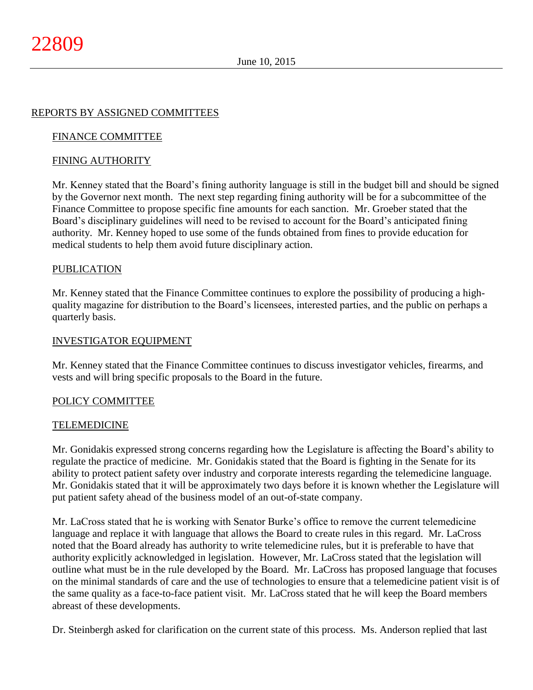## REPORTS BY ASSIGNED COMMITTEES

## FINANCE COMMITTEE

## FINING AUTHORITY

Mr. Kenney stated that the Board's fining authority language is still in the budget bill and should be signed by the Governor next month. The next step regarding fining authority will be for a subcommittee of the Finance Committee to propose specific fine amounts for each sanction. Mr. Groeber stated that the Board's disciplinary guidelines will need to be revised to account for the Board's anticipated fining authority. Mr. Kenney hoped to use some of the funds obtained from fines to provide education for medical students to help them avoid future disciplinary action.

#### **PUBLICATION**

Mr. Kenney stated that the Finance Committee continues to explore the possibility of producing a highquality magazine for distribution to the Board's licensees, interested parties, and the public on perhaps a quarterly basis.

#### INVESTIGATOR EQUIPMENT

Mr. Kenney stated that the Finance Committee continues to discuss investigator vehicles, firearms, and vests and will bring specific proposals to the Board in the future.

#### POLICY COMMITTEE

#### TELEMEDICINE

Mr. Gonidakis expressed strong concerns regarding how the Legislature is affecting the Board's ability to regulate the practice of medicine. Mr. Gonidakis stated that the Board is fighting in the Senate for its ability to protect patient safety over industry and corporate interests regarding the telemedicine language. Mr. Gonidakis stated that it will be approximately two days before it is known whether the Legislature will put patient safety ahead of the business model of an out-of-state company.

Mr. LaCross stated that he is working with Senator Burke's office to remove the current telemedicine language and replace it with language that allows the Board to create rules in this regard. Mr. LaCross noted that the Board already has authority to write telemedicine rules, but it is preferable to have that authority explicitly acknowledged in legislation. However, Mr. LaCross stated that the legislation will outline what must be in the rule developed by the Board. Mr. LaCross has proposed language that focuses on the minimal standards of care and the use of technologies to ensure that a telemedicine patient visit is of the same quality as a face-to-face patient visit. Mr. LaCross stated that he will keep the Board members abreast of these developments.

Dr. Steinbergh asked for clarification on the current state of this process. Ms. Anderson replied that last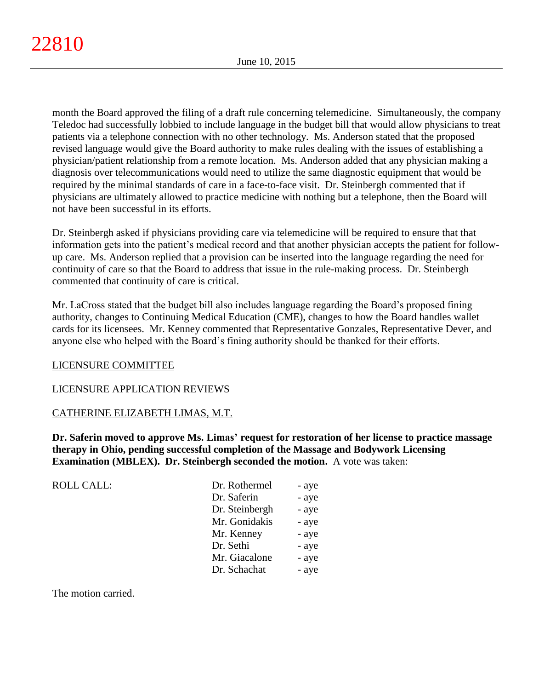month the Board approved the filing of a draft rule concerning telemedicine. Simultaneously, the company Teledoc had successfully lobbied to include language in the budget bill that would allow physicians to treat patients via a telephone connection with no other technology. Ms. Anderson stated that the proposed revised language would give the Board authority to make rules dealing with the issues of establishing a physician/patient relationship from a remote location. Ms. Anderson added that any physician making a diagnosis over telecommunications would need to utilize the same diagnostic equipment that would be required by the minimal standards of care in a face-to-face visit. Dr. Steinbergh commented that if physicians are ultimately allowed to practice medicine with nothing but a telephone, then the Board will not have been successful in its efforts.

Dr. Steinbergh asked if physicians providing care via telemedicine will be required to ensure that that information gets into the patient's medical record and that another physician accepts the patient for followup care. Ms. Anderson replied that a provision can be inserted into the language regarding the need for continuity of care so that the Board to address that issue in the rule-making process. Dr. Steinbergh commented that continuity of care is critical.

Mr. LaCross stated that the budget bill also includes language regarding the Board's proposed fining authority, changes to Continuing Medical Education (CME), changes to how the Board handles wallet cards for its licensees. Mr. Kenney commented that Representative Gonzales, Representative Dever, and anyone else who helped with the Board's fining authority should be thanked for their efforts.

## LICENSURE COMMITTEE

## LICENSURE APPLICATION REVIEWS

## CATHERINE ELIZABETH LIMAS, M.T.

**Dr. Saferin moved to approve Ms. Limas' request for restoration of her license to practice massage therapy in Ohio, pending successful completion of the Massage and Bodywork Licensing Examination (MBLEX). Dr. Steinbergh seconded the motion.** A vote was taken:

| <b>ROLL CALL:</b> | Dr. Rothermel  | - aye |
|-------------------|----------------|-------|
|                   | Dr. Saferin    | - aye |
|                   | Dr. Steinbergh | - aye |
|                   | Mr. Gonidakis  | - aye |
|                   | Mr. Kenney     | - aye |
|                   | Dr. Sethi      | - aye |
|                   | Mr. Giacalone  | - aye |
|                   | Dr. Schachat   | - aye |

The motion carried.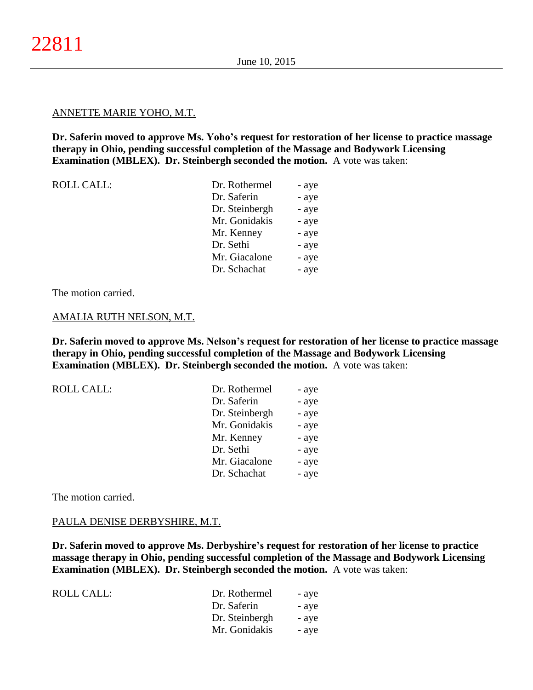#### ANNETTE MARIE YOHO, M.T.

**Dr. Saferin moved to approve Ms. Yoho's request for restoration of her license to practice massage therapy in Ohio, pending successful completion of the Massage and Bodywork Licensing Examination (MBLEX). Dr. Steinbergh seconded the motion.** A vote was taken:

| <b>ROLL CALL:</b> | Dr. Rothermel  | - aye |
|-------------------|----------------|-------|
|                   | Dr. Saferin    | - aye |
|                   | Dr. Steinbergh | - aye |
|                   | Mr. Gonidakis  | - aye |
|                   | Mr. Kenney     | - aye |
|                   | Dr. Sethi      | - aye |
|                   | Mr. Giacalone  | - aye |
|                   | Dr. Schachat   | - aye |
|                   |                |       |

The motion carried.

#### AMALIA RUTH NELSON, M.T.

**Dr. Saferin moved to approve Ms. Nelson's request for restoration of her license to practice massage therapy in Ohio, pending successful completion of the Massage and Bodywork Licensing Examination (MBLEX). Dr. Steinbergh seconded the motion.** A vote was taken:

| <b>ROLL CALL:</b> | Dr. Rothermel  | - aye |
|-------------------|----------------|-------|
|                   | Dr. Saferin    | - aye |
|                   | Dr. Steinbergh | - aye |
|                   | Mr. Gonidakis  | - aye |
|                   | Mr. Kenney     | - aye |
|                   | Dr. Sethi      | - aye |
|                   | Mr. Giacalone  | - aye |
|                   | Dr. Schachat   | - aye |
|                   |                |       |

The motion carried.

#### PAULA DENISE DERBYSHIRE, M.T.

**Dr. Saferin moved to approve Ms. Derbyshire's request for restoration of her license to practice massage therapy in Ohio, pending successful completion of the Massage and Bodywork Licensing Examination (MBLEX). Dr. Steinbergh seconded the motion.** A vote was taken:

| ROLL CALL: | Dr. Rothermel  | - aye |
|------------|----------------|-------|
|            | Dr. Saferin    | - ave |
|            | Dr. Steinbergh | - ave |
|            | Mr. Gonidakis  | - ave |
|            |                |       |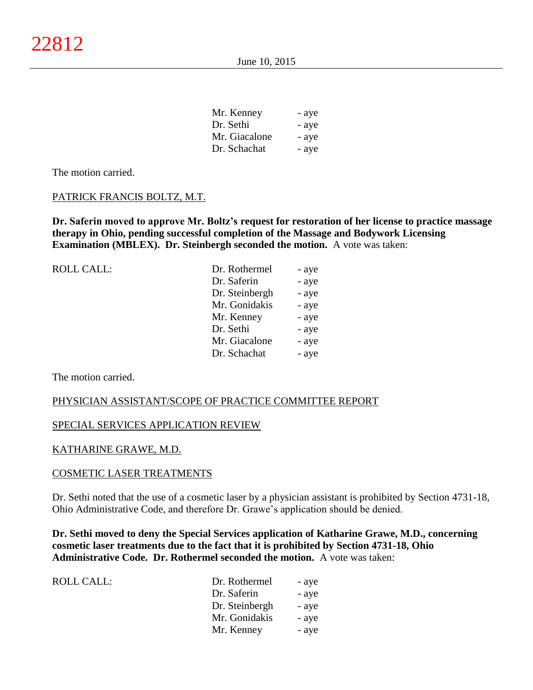| Mr. Kenney    | - aye |
|---------------|-------|
| Dr. Sethi     | - aye |
| Mr. Giacalone | - aye |
| Dr. Schachat  | - aye |

#### PATRICK FRANCIS BOLTZ, M.T.

**Dr. Saferin moved to approve Mr. Boltz's request for restoration of her license to practice massage therapy in Ohio, pending successful completion of the Massage and Bodywork Licensing Examination (MBLEX). Dr. Steinbergh seconded the motion.** A vote was taken:

| ROLL CALL: | Dr. Rothermel  | - aye |
|------------|----------------|-------|
|            | Dr. Saferin    | - aye |
|            | Dr. Steinbergh | - aye |
|            | Mr. Gonidakis  | - aye |
|            | Mr. Kenney     | - aye |
|            | Dr. Sethi      | - aye |
|            | Mr. Giacalone  | - aye |
|            | Dr. Schachat   | - aye |
|            |                |       |

The motion carried.

#### PHYSICIAN ASSISTANT/SCOPE OF PRACTICE COMMITTEE REPORT

#### SPECIAL SERVICES APPLICATION REVIEW

#### KATHARINE GRAWE, M.D.

#### COSMETIC LASER TREATMENTS

Dr. Sethi noted that the use of a cosmetic laser by a physician assistant is prohibited by Section 4731-18, Ohio Administrative Code, and therefore Dr. Grawe's application should be denied.

**Dr. Sethi moved to deny the Special Services application of Katharine Grawe, M.D., concerning cosmetic laser treatments due to the fact that it is prohibited by Section 4731-18, Ohio Administrative Code. Dr. Rothermel seconded the motion.** A vote was taken:

| ROLL CALL: | Dr. Rothermel  | - aye |
|------------|----------------|-------|
|            | Dr. Saferin    | - aye |
|            | Dr. Steinbergh | - aye |
|            | Mr. Gonidakis  | - aye |
|            | Mr. Kenney     | - aye |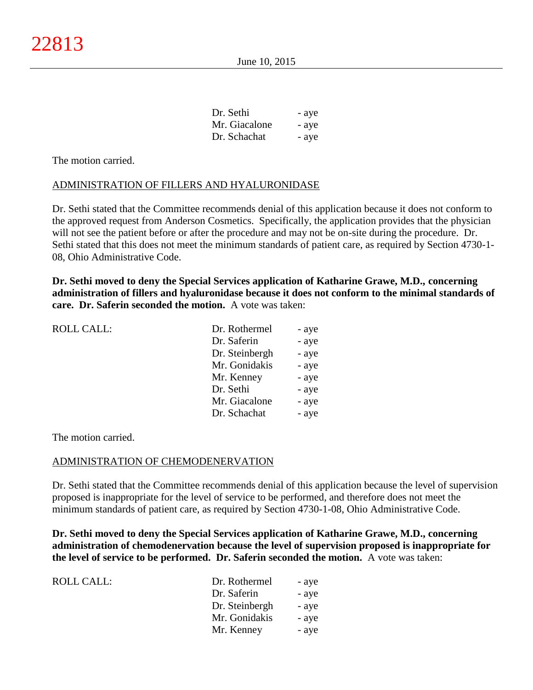| Dr. Sethi     | - aye |
|---------------|-------|
| Mr. Giacalone | - aye |
| Dr. Schachat  | - aye |

## ADMINISTRATION OF FILLERS AND HYALURONIDASE

Dr. Sethi stated that the Committee recommends denial of this application because it does not conform to the approved request from Anderson Cosmetics. Specifically, the application provides that the physician will not see the patient before or after the procedure and may not be on-site during the procedure. Dr. Sethi stated that this does not meet the minimum standards of patient care, as required by Section 4730-1- 08, Ohio Administrative Code.

**Dr. Sethi moved to deny the Special Services application of Katharine Grawe, M.D., concerning administration of fillers and hyaluronidase because it does not conform to the minimal standards of care. Dr. Saferin seconded the motion.** A vote was taken:

| <b>ROLL CALL:</b> | Dr. Rothermel  | - aye |
|-------------------|----------------|-------|
|                   | Dr. Saferin    | - aye |
|                   | Dr. Steinbergh | - aye |
|                   | Mr. Gonidakis  | - aye |
|                   | Mr. Kenney     | - aye |
|                   | Dr. Sethi      | - aye |
|                   | Mr. Giacalone  | - aye |
|                   | Dr. Schachat   | - aye |
|                   |                |       |

The motion carried.

## ADMINISTRATION OF CHEMODENERVATION

Dr. Sethi stated that the Committee recommends denial of this application because the level of supervision proposed is inappropriate for the level of service to be performed, and therefore does not meet the minimum standards of patient care, as required by Section 4730-1-08, Ohio Administrative Code.

**Dr. Sethi moved to deny the Special Services application of Katharine Grawe, M.D., concerning administration of chemodenervation because the level of supervision proposed is inappropriate for the level of service to be performed. Dr. Saferin seconded the motion.** A vote was taken:

| ROLL CALL: | Dr. Rothermel  | - aye |
|------------|----------------|-------|
|            | Dr. Saferin    | - aye |
|            | Dr. Steinbergh | - aye |
|            | Mr. Gonidakis  | - aye |
|            | Mr. Kenney     | - aye |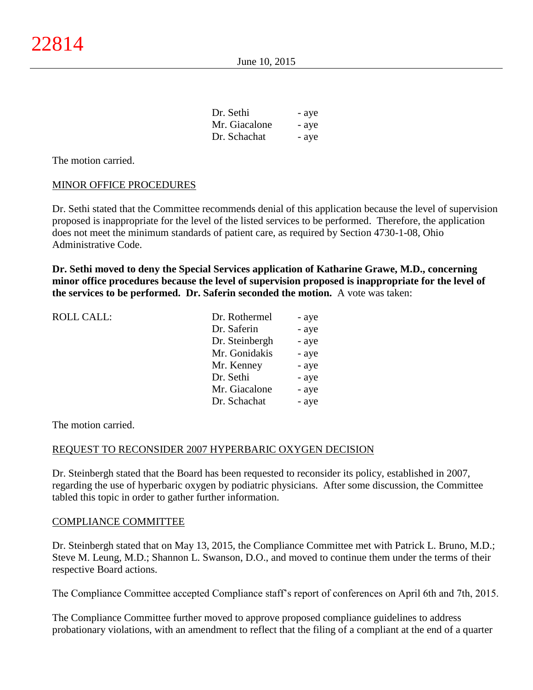| Dr. Sethi     | - aye |
|---------------|-------|
| Mr. Giacalone | - aye |
| Dr. Schachat  | - aye |

## MINOR OFFICE PROCEDURES

Dr. Sethi stated that the Committee recommends denial of this application because the level of supervision proposed is inappropriate for the level of the listed services to be performed. Therefore, the application does not meet the minimum standards of patient care, as required by Section 4730-1-08, Ohio Administrative Code.

**Dr. Sethi moved to deny the Special Services application of Katharine Grawe, M.D., concerning minor office procedures because the level of supervision proposed is inappropriate for the level of the services to be performed. Dr. Saferin seconded the motion.** A vote was taken:

| <b>ROLL CALL:</b> | Dr. Rothermel  | - aye |
|-------------------|----------------|-------|
|                   | Dr. Saferin    | - aye |
|                   | Dr. Steinbergh | - aye |
|                   | Mr. Gonidakis  | - aye |
|                   | Mr. Kenney     | - aye |
|                   | Dr. Sethi      | - aye |
|                   | Mr. Giacalone  | - aye |
|                   | Dr. Schachat   | - aye |
|                   |                |       |

The motion carried.

#### REQUEST TO RECONSIDER 2007 HYPERBARIC OXYGEN DECISION

Dr. Steinbergh stated that the Board has been requested to reconsider its policy, established in 2007, regarding the use of hyperbaric oxygen by podiatric physicians. After some discussion, the Committee tabled this topic in order to gather further information.

#### COMPLIANCE COMMITTEE

Dr. Steinbergh stated that on May 13, 2015, the Compliance Committee met with Patrick L. Bruno, M.D.; Steve M. Leung, M.D.; Shannon L. Swanson, D.O., and moved to continue them under the terms of their respective Board actions.

The Compliance Committee accepted Compliance staff's report of conferences on April 6th and 7th, 2015.

The Compliance Committee further moved to approve proposed compliance guidelines to address probationary violations, with an amendment to reflect that the filing of a compliant at the end of a quarter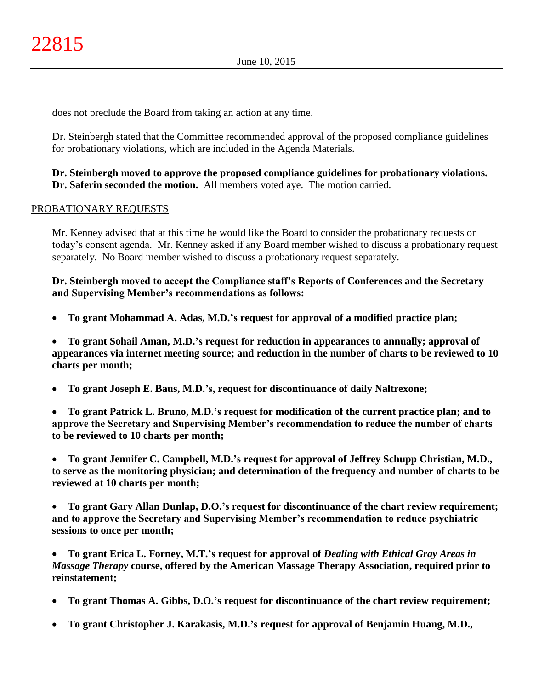does not preclude the Board from taking an action at any time.

Dr. Steinbergh stated that the Committee recommended approval of the proposed compliance guidelines for probationary violations, which are included in the Agenda Materials.

# **Dr. Steinbergh moved to approve the proposed compliance guidelines for probationary violations. Dr. Saferin seconded the motion.** All members voted aye. The motion carried.

# PROBATIONARY REQUESTS

Mr. Kenney advised that at this time he would like the Board to consider the probationary requests on today's consent agenda. Mr. Kenney asked if any Board member wished to discuss a probationary request separately. No Board member wished to discuss a probationary request separately.

**Dr. Steinbergh moved to accept the Compliance staff's Reports of Conferences and the Secretary and Supervising Member's recommendations as follows:**

**To grant Mohammad A. Adas, M.D.'s request for approval of a modified practice plan;**

 **To grant Sohail Aman, M.D.'s request for reduction in appearances to annually; approval of appearances via internet meeting source; and reduction in the number of charts to be reviewed to 10 charts per month;**

**To grant Joseph E. Baus, M.D.'s, request for discontinuance of daily Naltrexone;**

 **To grant Patrick L. Bruno, M.D.'s request for modification of the current practice plan; and to approve the Secretary and Supervising Member's recommendation to reduce the number of charts to be reviewed to 10 charts per month;**

 **To grant Jennifer C. Campbell, M.D.'s request for approval of Jeffrey Schupp Christian, M.D., to serve as the monitoring physician; and determination of the frequency and number of charts to be reviewed at 10 charts per month;**

 **To grant Gary Allan Dunlap, D.O.'s request for discontinuance of the chart review requirement; and to approve the Secretary and Supervising Member's recommendation to reduce psychiatric sessions to once per month;**

 **To grant Erica L. Forney, M.T.'s request for approval of** *Dealing with Ethical Gray Areas in Massage Therapy* **course, offered by the American Massage Therapy Association, required prior to reinstatement;**

- **To grant Thomas A. Gibbs, D.O.'s request for discontinuance of the chart review requirement;**
- **To grant Christopher J. Karakasis, M.D.'s request for approval of Benjamin Huang, M.D.,**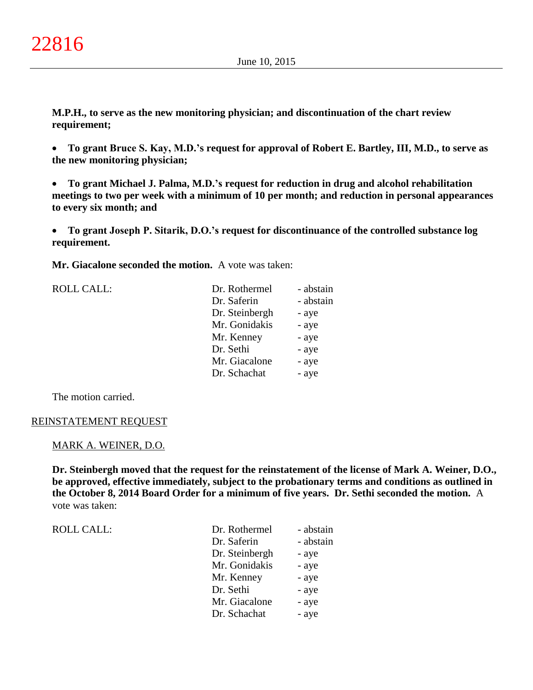**M.P.H., to serve as the new monitoring physician; and discontinuation of the chart review requirement;**

 **To grant Bruce S. Kay, M.D.'s request for approval of Robert E. Bartley, III, M.D., to serve as the new monitoring physician;**

 **To grant Michael J. Palma, M.D.'s request for reduction in drug and alcohol rehabilitation meetings to two per week with a minimum of 10 per month; and reduction in personal appearances to every six month; and**

 **To grant Joseph P. Sitarik, D.O.'s request for discontinuance of the controlled substance log requirement.**

**Mr. Giacalone seconded the motion.** A vote was taken:

| Dr. Saferin<br>Dr. Steinbergh<br>- aye<br>Mr. Gonidakis<br>- aye<br>Mr. Kenney<br>- aye<br>Dr. Sethi<br>- aye<br>Mr. Giacalone<br>- aye<br>Dr. Schachat<br>- aye | <b>ROLL CALL:</b> | Dr. Rothermel | - abstain |
|------------------------------------------------------------------------------------------------------------------------------------------------------------------|-------------------|---------------|-----------|
|                                                                                                                                                                  |                   |               | - abstain |
|                                                                                                                                                                  |                   |               |           |
|                                                                                                                                                                  |                   |               |           |
|                                                                                                                                                                  |                   |               |           |
|                                                                                                                                                                  |                   |               |           |
|                                                                                                                                                                  |                   |               |           |
|                                                                                                                                                                  |                   |               |           |

The motion carried.

#### REINSTATEMENT REQUEST

# MARK A. WEINER, D.O.

**Dr. Steinbergh moved that the request for the reinstatement of the license of Mark A. Weiner, D.O., be approved, effective immediately, subject to the probationary terms and conditions as outlined in the October 8, 2014 Board Order for a minimum of five years. Dr. Sethi seconded the motion.** A vote was taken:

| ROLL CALL: |  |
|------------|--|
|            |  |

| ROLL CALL: | Dr. Rothermel  | - abstain |
|------------|----------------|-----------|
|            | Dr. Saferin    | - abstain |
|            | Dr. Steinbergh | - aye     |
|            | Mr. Gonidakis  | - aye     |
|            | Mr. Kenney     | - aye     |
|            | Dr. Sethi      | - aye     |
|            | Mr. Giacalone  | - aye     |
|            | Dr. Schachat   | - aye     |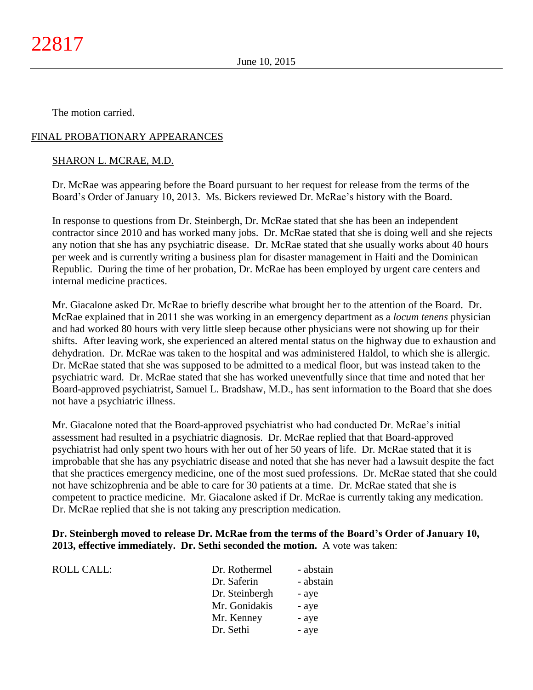# FINAL PROBATIONARY APPEARANCES

## SHARON L. MCRAE, M.D.

Dr. McRae was appearing before the Board pursuant to her request for release from the terms of the Board's Order of January 10, 2013. Ms. Bickers reviewed Dr. McRae's history with the Board.

In response to questions from Dr. Steinbergh, Dr. McRae stated that she has been an independent contractor since 2010 and has worked many jobs. Dr. McRae stated that she is doing well and she rejects any notion that she has any psychiatric disease. Dr. McRae stated that she usually works about 40 hours per week and is currently writing a business plan for disaster management in Haiti and the Dominican Republic. During the time of her probation, Dr. McRae has been employed by urgent care centers and internal medicine practices.

Mr. Giacalone asked Dr. McRae to briefly describe what brought her to the attention of the Board. Dr. McRae explained that in 2011 she was working in an emergency department as a *locum tenens* physician and had worked 80 hours with very little sleep because other physicians were not showing up for their shifts. After leaving work, she experienced an altered mental status on the highway due to exhaustion and dehydration. Dr. McRae was taken to the hospital and was administered Haldol, to which she is allergic. Dr. McRae stated that she was supposed to be admitted to a medical floor, but was instead taken to the psychiatric ward. Dr. McRae stated that she has worked uneventfully since that time and noted that her Board-approved psychiatrist, Samuel L. Bradshaw, M.D., has sent information to the Board that she does not have a psychiatric illness.

Mr. Giacalone noted that the Board-approved psychiatrist who had conducted Dr. McRae's initial assessment had resulted in a psychiatric diagnosis. Dr. McRae replied that that Board-approved psychiatrist had only spent two hours with her out of her 50 years of life. Dr. McRae stated that it is improbable that she has any psychiatric disease and noted that she has never had a lawsuit despite the fact that she practices emergency medicine, one of the most sued professions. Dr. McRae stated that she could not have schizophrenia and be able to care for 30 patients at a time. Dr. McRae stated that she is competent to practice medicine. Mr. Giacalone asked if Dr. McRae is currently taking any medication. Dr. McRae replied that she is not taking any prescription medication.

## **Dr. Steinbergh moved to release Dr. McRae from the terms of the Board's Order of January 10, 2013, effective immediately. Dr. Sethi seconded the motion.** A vote was taken:

| ROLL CALL: | Dr. Rothermel  | - abstain |
|------------|----------------|-----------|
|            | Dr. Saferin    | - abstain |
|            | Dr. Steinbergh | - aye     |
|            | Mr. Gonidakis  | - aye     |
|            | Mr. Kenney     | - aye     |
|            | Dr. Sethi      | - aye     |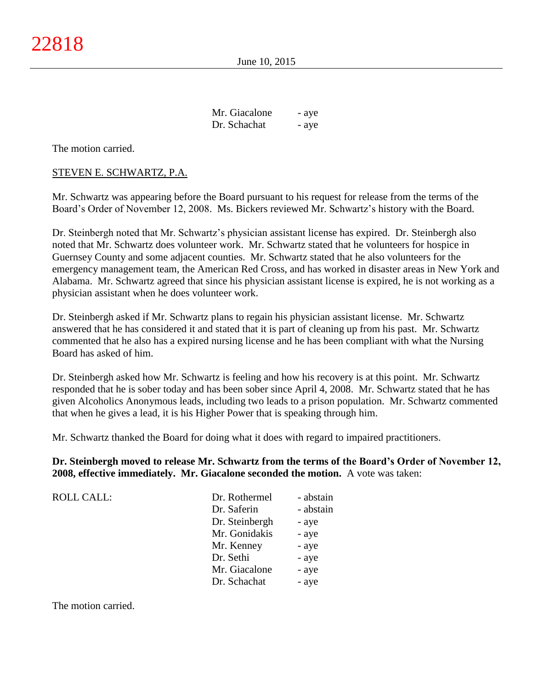| Mr. Giacalone | - aye |
|---------------|-------|
| Dr. Schachat  | - aye |

## STEVEN E. SCHWARTZ, P.A.

Mr. Schwartz was appearing before the Board pursuant to his request for release from the terms of the Board's Order of November 12, 2008. Ms. Bickers reviewed Mr. Schwartz's history with the Board.

Dr. Steinbergh noted that Mr. Schwartz's physician assistant license has expired. Dr. Steinbergh also noted that Mr. Schwartz does volunteer work. Mr. Schwartz stated that he volunteers for hospice in Guernsey County and some adjacent counties. Mr. Schwartz stated that he also volunteers for the emergency management team, the American Red Cross, and has worked in disaster areas in New York and Alabama. Mr. Schwartz agreed that since his physician assistant license is expired, he is not working as a physician assistant when he does volunteer work.

Dr. Steinbergh asked if Mr. Schwartz plans to regain his physician assistant license. Mr. Schwartz answered that he has considered it and stated that it is part of cleaning up from his past. Mr. Schwartz commented that he also has a expired nursing license and he has been compliant with what the Nursing Board has asked of him.

Dr. Steinbergh asked how Mr. Schwartz is feeling and how his recovery is at this point. Mr. Schwartz responded that he is sober today and has been sober since April 4, 2008. Mr. Schwartz stated that he has given Alcoholics Anonymous leads, including two leads to a prison population. Mr. Schwartz commented that when he gives a lead, it is his Higher Power that is speaking through him.

Mr. Schwartz thanked the Board for doing what it does with regard to impaired practitioners.

**Dr. Steinbergh moved to release Mr. Schwartz from the terms of the Board's Order of November 12, 2008, effective immediately. Mr. Giacalone seconded the motion.** A vote was taken:

| Dr. Rothermel  | - abstain |
|----------------|-----------|
| Dr. Saferin    | - abstain |
| Dr. Steinbergh | - aye     |
| Mr. Gonidakis  | - aye     |
| Mr. Kenney     | - aye     |
| Dr. Sethi      | - aye     |
| Mr. Giacalone  | - aye     |
| Dr. Schachat   | - aye     |
|                |           |

The motion carried.

 $ROLL CALL$ :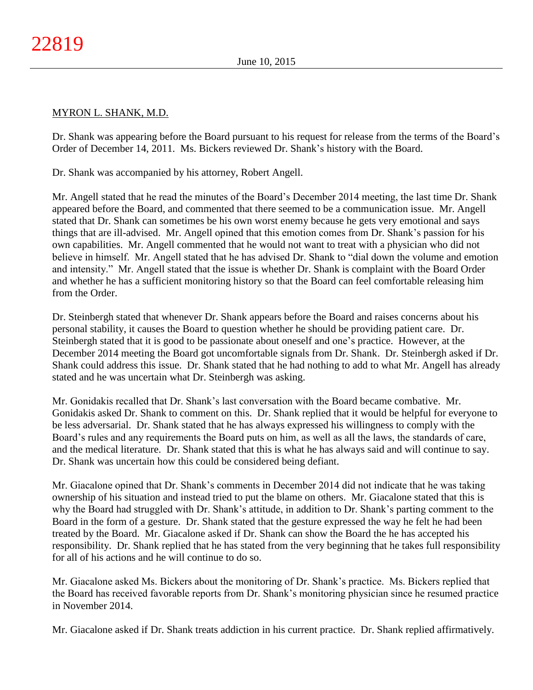# MYRON L. SHANK, M.D.

Dr. Shank was appearing before the Board pursuant to his request for release from the terms of the Board's Order of December 14, 2011. Ms. Bickers reviewed Dr. Shank's history with the Board.

Dr. Shank was accompanied by his attorney, Robert Angell.

Mr. Angell stated that he read the minutes of the Board's December 2014 meeting, the last time Dr. Shank appeared before the Board, and commented that there seemed to be a communication issue. Mr. Angell stated that Dr. Shank can sometimes be his own worst enemy because he gets very emotional and says things that are ill-advised. Mr. Angell opined that this emotion comes from Dr. Shank's passion for his own capabilities. Mr. Angell commented that he would not want to treat with a physician who did not believe in himself. Mr. Angell stated that he has advised Dr. Shank to "dial down the volume and emotion and intensity." Mr. Angell stated that the issue is whether Dr. Shank is complaint with the Board Order and whether he has a sufficient monitoring history so that the Board can feel comfortable releasing him from the Order.

Dr. Steinbergh stated that whenever Dr. Shank appears before the Board and raises concerns about his personal stability, it causes the Board to question whether he should be providing patient care. Dr. Steinbergh stated that it is good to be passionate about oneself and one's practice. However, at the December 2014 meeting the Board got uncomfortable signals from Dr. Shank. Dr. Steinbergh asked if Dr. Shank could address this issue. Dr. Shank stated that he had nothing to add to what Mr. Angell has already stated and he was uncertain what Dr. Steinbergh was asking.

Mr. Gonidakis recalled that Dr. Shank's last conversation with the Board became combative. Mr. Gonidakis asked Dr. Shank to comment on this. Dr. Shank replied that it would be helpful for everyone to be less adversarial. Dr. Shank stated that he has always expressed his willingness to comply with the Board's rules and any requirements the Board puts on him, as well as all the laws, the standards of care, and the medical literature. Dr. Shank stated that this is what he has always said and will continue to say. Dr. Shank was uncertain how this could be considered being defiant.

Mr. Giacalone opined that Dr. Shank's comments in December 2014 did not indicate that he was taking ownership of his situation and instead tried to put the blame on others. Mr. Giacalone stated that this is why the Board had struggled with Dr. Shank's attitude, in addition to Dr. Shank's parting comment to the Board in the form of a gesture. Dr. Shank stated that the gesture expressed the way he felt he had been treated by the Board. Mr. Giacalone asked if Dr. Shank can show the Board the he has accepted his responsibility. Dr. Shank replied that he has stated from the very beginning that he takes full responsibility for all of his actions and he will continue to do so.

Mr. Giacalone asked Ms. Bickers about the monitoring of Dr. Shank's practice. Ms. Bickers replied that the Board has received favorable reports from Dr. Shank's monitoring physician since he resumed practice in November 2014.

Mr. Giacalone asked if Dr. Shank treats addiction in his current practice. Dr. Shank replied affirmatively.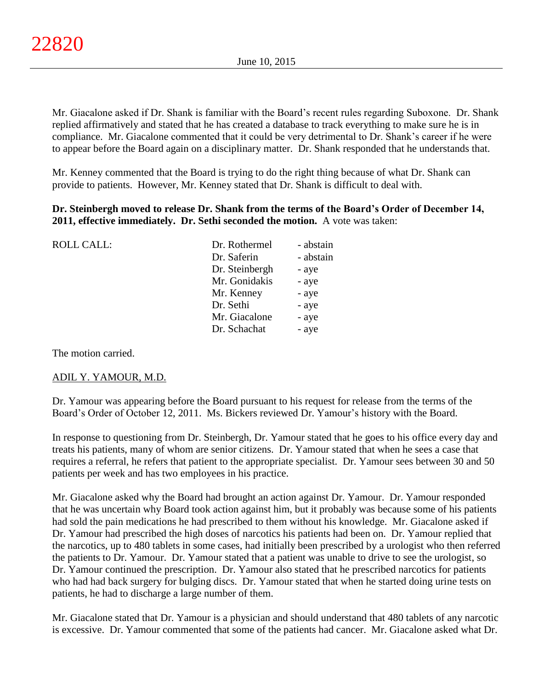Mr. Giacalone asked if Dr. Shank is familiar with the Board's recent rules regarding Suboxone. Dr. Shank replied affirmatively and stated that he has created a database to track everything to make sure he is in compliance. Mr. Giacalone commented that it could be very detrimental to Dr. Shank's career if he were to appear before the Board again on a disciplinary matter. Dr. Shank responded that he understands that.

Mr. Kenney commented that the Board is trying to do the right thing because of what Dr. Shank can provide to patients. However, Mr. Kenney stated that Dr. Shank is difficult to deal with.

# **Dr. Steinbergh moved to release Dr. Shank from the terms of the Board's Order of December 14, 2011, effective immediately. Dr. Sethi seconded the motion.** A vote was taken:

| <b>ROLL CALL:</b> | Dr. Rothermel  | - abstain |
|-------------------|----------------|-----------|
|                   | Dr. Saferin    | - abstain |
|                   | Dr. Steinbergh | - aye     |
|                   | Mr. Gonidakis  | - aye     |
|                   | Mr. Kenney     | - aye     |
|                   | Dr. Sethi      | - aye     |
|                   | Mr. Giacalone  | - aye     |
|                   | Dr. Schachat   | - aye     |
|                   |                |           |

The motion carried.

## ADIL Y. YAMOUR, M.D.

Dr. Yamour was appearing before the Board pursuant to his request for release from the terms of the Board's Order of October 12, 2011. Ms. Bickers reviewed Dr. Yamour's history with the Board.

In response to questioning from Dr. Steinbergh, Dr. Yamour stated that he goes to his office every day and treats his patients, many of whom are senior citizens. Dr. Yamour stated that when he sees a case that requires a referral, he refers that patient to the appropriate specialist. Dr. Yamour sees between 30 and 50 patients per week and has two employees in his practice.

Mr. Giacalone asked why the Board had brought an action against Dr. Yamour. Dr. Yamour responded that he was uncertain why Board took action against him, but it probably was because some of his patients had sold the pain medications he had prescribed to them without his knowledge. Mr. Giacalone asked if Dr. Yamour had prescribed the high doses of narcotics his patients had been on. Dr. Yamour replied that the narcotics, up to 480 tablets in some cases, had initially been prescribed by a urologist who then referred the patients to Dr. Yamour. Dr. Yamour stated that a patient was unable to drive to see the urologist, so Dr. Yamour continued the prescription. Dr. Yamour also stated that he prescribed narcotics for patients who had had back surgery for bulging discs. Dr. Yamour stated that when he started doing urine tests on patients, he had to discharge a large number of them.

Mr. Giacalone stated that Dr. Yamour is a physician and should understand that 480 tablets of any narcotic is excessive. Dr. Yamour commented that some of the patients had cancer. Mr. Giacalone asked what Dr.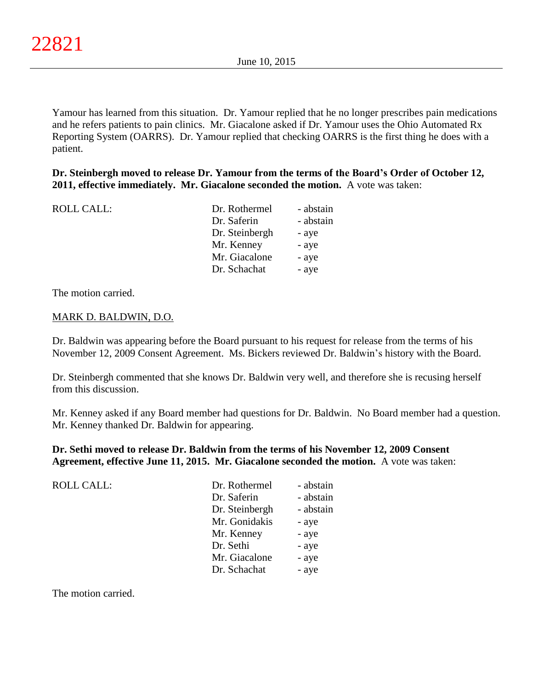Yamour has learned from this situation. Dr. Yamour replied that he no longer prescribes pain medications and he refers patients to pain clinics. Mr. Giacalone asked if Dr. Yamour uses the Ohio Automated Rx Reporting System (OARRS). Dr. Yamour replied that checking OARRS is the first thing he does with a patient.

# **Dr. Steinbergh moved to release Dr. Yamour from the terms of the Board's Order of October 12, 2011, effective immediately. Mr. Giacalone seconded the motion.** A vote was taken:

| <b>ROLL CALL:</b> | Dr. Rothermel  | - abstain |
|-------------------|----------------|-----------|
|                   | Dr. Saferin    | - abstain |
|                   | Dr. Steinbergh | - aye     |
|                   | Mr. Kenney     | - aye     |
|                   | Mr. Giacalone  | - aye     |
|                   | Dr. Schachat   | - aye     |
|                   |                |           |

The motion carried.

## MARK D. BALDWIN, D.O.

Dr. Baldwin was appearing before the Board pursuant to his request for release from the terms of his November 12, 2009 Consent Agreement. Ms. Bickers reviewed Dr. Baldwin's history with the Board.

Dr. Steinbergh commented that she knows Dr. Baldwin very well, and therefore she is recusing herself from this discussion.

Mr. Kenney asked if any Board member had questions for Dr. Baldwin. No Board member had a question. Mr. Kenney thanked Dr. Baldwin for appearing.

**Dr. Sethi moved to release Dr. Baldwin from the terms of his November 12, 2009 Consent Agreement, effective June 11, 2015. Mr. Giacalone seconded the motion.** A vote was taken:

| ROLL CALL: | Dr. Rothermel  | - abstain |
|------------|----------------|-----------|
|            | Dr. Saferin    | - abstain |
|            | Dr. Steinbergh | - abstain |
|            | Mr. Gonidakis  | - aye     |
|            | Mr. Kenney     | - aye     |
|            | Dr. Sethi      | - aye     |
|            | Mr. Giacalone  | - aye     |
|            | Dr. Schachat   | - aye     |
|            |                |           |

The motion carried.